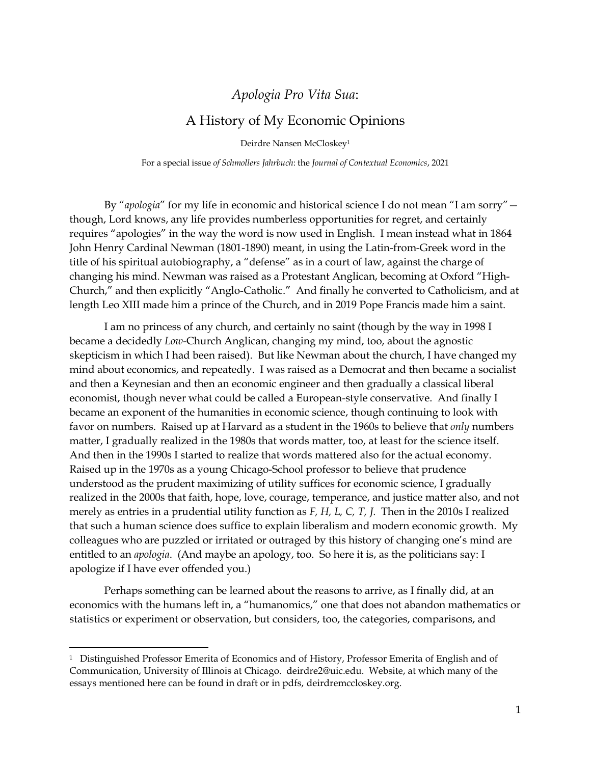# *Apologia Pro Vita Sua*:

# A History of My Economic Opinions

Deirdre Nansen McCloskey<sup>1</sup>

For a special issue *of Schmollers Jahrbuch*: the *Journal of Contextual Economics*, 2021

By "*apologia*" for my life in economic and historical science I do not mean "I am sorry" though, Lord knows, any life provides numberless opportunities for regret, and certainly requires "apologies" in the way the word is now used in English. I mean instead what in 1864 John Henry Cardinal Newman (1801-1890) meant, in using the Latin-from-Greek word in the title of his spiritual autobiography, a "defense" as in a court of law, against the charge of changing his mind. Newman was raised as a Protestant Anglican, becoming at Oxford "High-Church," and then explicitly "Anglo-Catholic." And finally he converted to Catholicism, and at length Leo XIII made him a prince of the Church, and in 2019 Pope Francis made him a saint.

I am no princess of any church, and certainly no saint (though by the way in 1998 I became a decidedly *Low*-Church Anglican, changing my mind, too, about the agnostic skepticism in which I had been raised). But like Newman about the church, I have changed my mind about economics, and repeatedly. I was raised as a Democrat and then became a socialist and then a Keynesian and then an economic engineer and then gradually a classical liberal economist, though never what could be called a European-style conservative. And finally I became an exponent of the humanities in economic science, though continuing to look with favor on numbers. Raised up at Harvard as a student in the 1960s to believe that *only* numbers matter, I gradually realized in the 1980s that words matter, too, at least for the science itself. And then in the 1990s I started to realize that words mattered also for the actual economy. Raised up in the 1970s as a young Chicago-School professor to believe that prudence understood as the prudent maximizing of utility suffices for economic science, I gradually realized in the 2000s that faith, hope, love, courage, temperance, and justice matter also, and not merely as entries in a prudential utility function as *F, H, L, C, T, J.* Then in the 2010s I realized that such a human science does suffice to explain liberalism and modern economic growth. My colleagues who are puzzled or irritated or outraged by this history of changing one's mind are entitled to an *apologia*. (And maybe an apology, too. So here it is, as the politicians say: I apologize if I have ever offended you.)

Perhaps something can be learned about the reasons to arrive, as I finally did, at an economics with the humans left in, a "humanomics," one that does not abandon mathematics or statistics or experiment or observation, but considers, too, the categories, comparisons, and

<sup>1</sup> Distinguished Professor Emerita of Economics and of History, Professor Emerita of English and of Communication, University of Illinois at Chicago. deirdre2@uic.edu. Website, at which many of the essays mentioned here can be found in draft or in pdfs, deirdremccloskey.org.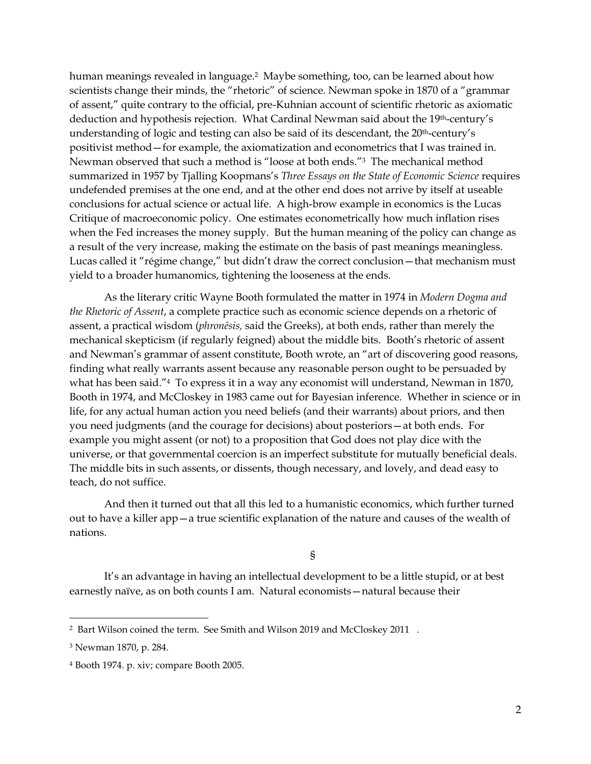human meanings revealed in language.2 Maybe something, too, can be learned about how scientists change their minds, the "rhetoric" of science. Newman spoke in 1870 of a "grammar of assent," quite contrary to the official, pre-Kuhnian account of scientific rhetoric as axiomatic deduction and hypothesis rejection. What Cardinal Newman said about the 19th-century's understanding of logic and testing can also be said of its descendant, the 20<sup>th</sup>-century's positivist method—for example, the axiomatization and econometrics that I was trained in. Newman observed that such a method is "loose at both ends."3 The mechanical method summarized in 1957 by Tjalling Koopmans's *Three Essays on the State of Economic Science* requires undefended premises at the one end, and at the other end does not arrive by itself at useable conclusions for actual science or actual life. A high-brow example in economics is the Lucas Critique of macroeconomic policy. One estimates econometrically how much inflation rises when the Fed increases the money supply. But the human meaning of the policy can change as a result of the very increase, making the estimate on the basis of past meanings meaningless. Lucas called it "régime change," but didn't draw the correct conclusion—that mechanism must yield to a broader humanomics, tightening the looseness at the ends.

As the literary critic Wayne Booth formulated the matter in 1974 in *Modern Dogma and the Rhetoric of Assent*, a complete practice such as economic science depends on a rhetoric of assent, a practical wisdom (*phronēsis,* said the Greeks), at both ends, rather than merely the mechanical skepticism (if regularly feigned) about the middle bits. Booth's rhetoric of assent and Newman's grammar of assent constitute, Booth wrote, an "art of discovering good reasons, finding what really warrants assent because any reasonable person ought to be persuaded by what has been said."4 To express it in a way any economist will understand, Newman in 1870, Booth in 1974, and McCloskey in 1983 came out for Bayesian inference. Whether in science or in life, for any actual human action you need beliefs (and their warrants) about priors, and then you need judgments (and the courage for decisions) about posteriors—at both ends. For example you might assent (or not) to a proposition that God does not play dice with the universe, or that governmental coercion is an imperfect substitute for mutually beneficial deals. The middle bits in such assents, or dissents, though necessary, and lovely, and dead easy to teach, do not suffice.

And then it turned out that all this led to a humanistic economics, which further turned out to have a killer app—a true scientific explanation of the nature and causes of the wealth of nations.

§

It's an advantage in having an intellectual development to be a little stupid, or at best earnestly naïve, as on both counts I am. Natural economists—natural because their

<sup>2</sup> Bart Wilson coined the term. See Smith and Wilson 2019 and McCloskey 2011 .

<sup>3</sup> Newman 1870, p. 284.

<sup>4</sup> Booth 1974. p. xiv; compare Booth 2005.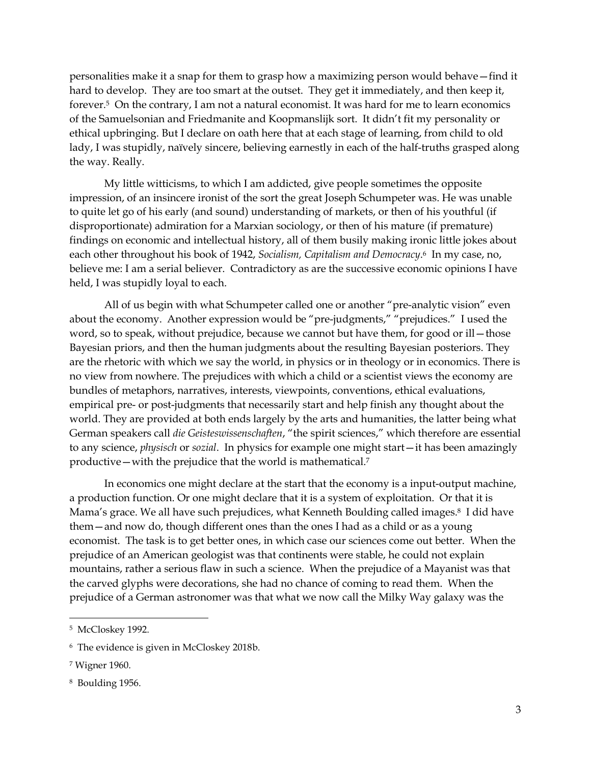personalities make it a snap for them to grasp how a maximizing person would behave—find it hard to develop. They are too smart at the outset. They get it immediately, and then keep it, forever.5 On the contrary, I am not a natural economist. It was hard for me to learn economics of the Samuelsonian and Friedmanite and Koopmanslijk sort. It didn't fit my personality or ethical upbringing. But I declare on oath here that at each stage of learning, from child to old lady, I was stupidly, naïvely sincere, believing earnestly in each of the half-truths grasped along the way. Really.

My little witticisms, to which I am addicted, give people sometimes the opposite impression, of an insincere ironist of the sort the great Joseph Schumpeter was. He was unable to quite let go of his early (and sound) understanding of markets, or then of his youthful (if disproportionate) admiration for a Marxian sociology, or then of his mature (if premature) findings on economic and intellectual history, all of them busily making ironic little jokes about each other throughout his book of 1942, *Socialism, Capitalism and Democracy*. <sup>6</sup> In my case, no, believe me: I am a serial believer. Contradictory as are the successive economic opinions I have held, I was stupidly loyal to each.

All of us begin with what Schumpeter called one or another "pre-analytic vision" even about the economy. Another expression would be "pre-judgments," "prejudices." I used the word, so to speak, without prejudice, because we cannot but have them, for good or ill - those Bayesian priors, and then the human judgments about the resulting Bayesian posteriors. They are the rhetoric with which we say the world, in physics or in theology or in economics. There is no view from nowhere. The prejudices with which a child or a scientist views the economy are bundles of metaphors, narratives, interests, viewpoints, conventions, ethical evaluations, empirical pre- or post-judgments that necessarily start and help finish any thought about the world. They are provided at both ends largely by the arts and humanities, the latter being what German speakers call *die Geisteswissenschaften*, "the spirit sciences," which therefore are essential to any science, *physisch* or *sozial*. In physics for example one might start—it has been amazingly productive—with the prejudice that the world is mathematical.<sup>7</sup>

In economics one might declare at the start that the economy is a input-output machine, a production function. Or one might declare that it is a system of exploitation. Or that it is Mama's grace. We all have such prejudices, what Kenneth Boulding called images. <sup>8</sup> I did have them—and now do, though different ones than the ones I had as a child or as a young economist. The task is to get better ones, in which case our sciences come out better. When the prejudice of an American geologist was that continents were stable, he could not explain mountains, rather a serious flaw in such a science. When the prejudice of a Mayanist was that the carved glyphs were decorations, she had no chance of coming to read them. When the prejudice of a German astronomer was that what we now call the Milky Way galaxy was the

8 Boulding 1956.

<sup>5</sup> McCloskey 1992.

<sup>6</sup> The evidence is given in McCloskey 2018b.

<sup>7</sup> Wigner 1960.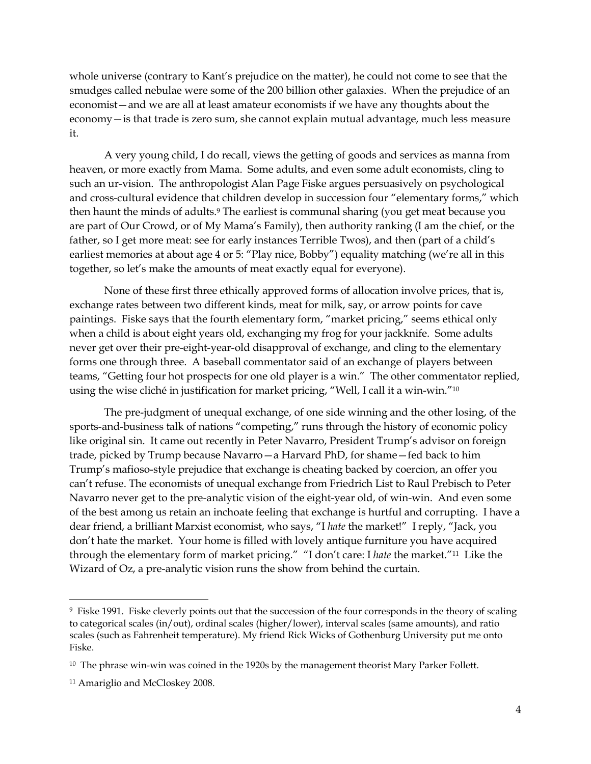whole universe (contrary to Kant's prejudice on the matter), he could not come to see that the smudges called nebulae were some of the 200 billion other galaxies. When the prejudice of an economist—and we are all at least amateur economists if we have any thoughts about the economy—is that trade is zero sum, she cannot explain mutual advantage, much less measure it.

A very young child, I do recall, views the getting of goods and services as manna from heaven, or more exactly from Mama. Some adults, and even some adult economists, cling to such an ur-vision. The anthropologist Alan Page Fiske argues persuasively on psychological and cross-cultural evidence that children develop in succession four "elementary forms," which then haunt the minds of adults.<sup>9</sup> The earliest is communal sharing (you get meat because you are part of Our Crowd, or of My Mama's Family), then authority ranking (I am the chief, or the father, so I get more meat: see for early instances Terrible Twos), and then (part of a child's earliest memories at about age 4 or 5: "Play nice, Bobby") equality matching (we're all in this together, so let's make the amounts of meat exactly equal for everyone).

None of these first three ethically approved forms of allocation involve prices, that is, exchange rates between two different kinds, meat for milk, say, or arrow points for cave paintings. Fiske says that the fourth elementary form, "market pricing," seems ethical only when a child is about eight years old, exchanging my frog for your jackknife. Some adults never get over their pre-eight-year-old disapproval of exchange, and cling to the elementary forms one through three. A baseball commentator said of an exchange of players between teams, "Getting four hot prospects for one old player is a win." The other commentator replied, using the wise cliché in justification for market pricing, "Well, I call it a win-win."<sup>10</sup>

The pre-judgment of unequal exchange, of one side winning and the other losing, of the sports-and-business talk of nations "competing," runs through the history of economic policy like original sin. It came out recently in Peter Navarro, President Trump's advisor on foreign trade, picked by Trump because Navarro—a Harvard PhD, for shame—fed back to him Trump's mafioso-style prejudice that exchange is cheating backed by coercion, an offer you can't refuse. The economists of unequal exchange from Friedrich List to Raul Prebisch to Peter Navarro never get to the pre-analytic vision of the eight-year old, of win-win. And even some of the best among us retain an inchoate feeling that exchange is hurtful and corrupting. I have a dear friend, a brilliant Marxist economist, who says, "I *hate* the market!" I reply, "Jack, you don't hate the market. Your home is filled with lovely antique furniture you have acquired through the elementary form of market pricing." "I don't care: I *hate* the market."<sup>11</sup> Like the Wizard of Oz, a pre-analytic vision runs the show from behind the curtain.

<sup>9</sup> Fiske 1991. Fiske cleverly points out that the succession of the four corresponds in the theory of scaling to categorical scales (in/out), ordinal scales (higher/lower), interval scales (same amounts), and ratio scales (such as Fahrenheit temperature). My friend Rick Wicks of Gothenburg University put me onto Fiske.

 $10$  The phrase win-win was coined in the 1920s by the management theorist Mary Parker Follett.

<sup>&</sup>lt;sup>11</sup> Amariglio and McCloskey 2008.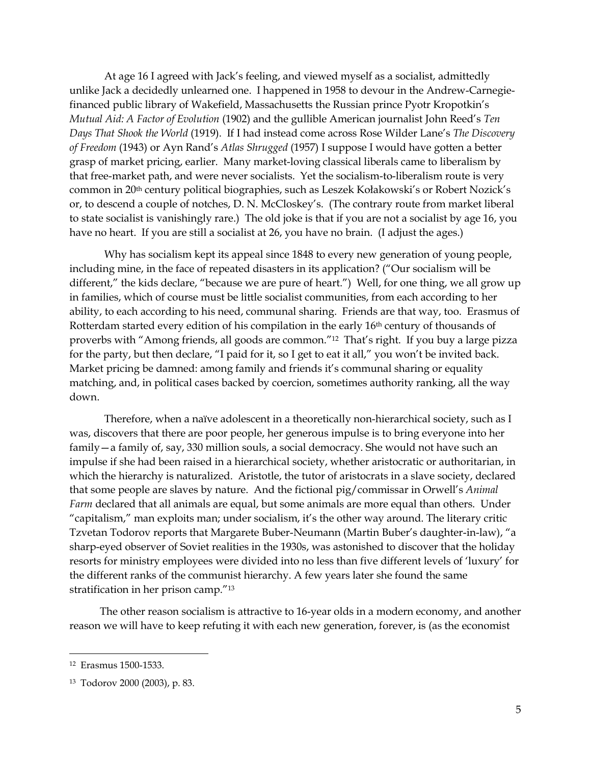At age 16 I agreed with Jack's feeling, and viewed myself as a socialist, admittedly unlike Jack a decidedly unlearned one. I happened in 1958 to devour in the Andrew-Carnegiefinanced public library of Wakefield, Massachusetts the Russian prince Pyotr Kropotkin's *Mutual Aid: A Factor of Evolution* (1902) and the gullible American journalist John Reed's *Ten Days That Shook the World* (1919). If I had instead come across Rose Wilder Lane's *The Discovery of Freedom* (1943) or Ayn Rand's *Atlas Shrugged* (1957) I suppose I would have gotten a better grasp of market pricing, earlier. Many market-loving classical liberals came to liberalism by that free-market path, and were never socialists. Yet the socialism-to-liberalism route is very common in 20th century political biographies, such as Leszek Kołakowski's or Robert Nozick's or, to descend a couple of notches, D. N. McCloskey's. (The contrary route from market liberal to state socialist is vanishingly rare.) The old joke is that if you are not a socialist by age 16, you have no heart. If you are still a socialist at 26, you have no brain. (I adjust the ages.)

Why has socialism kept its appeal since 1848 to every new generation of young people, including mine, in the face of repeated disasters in its application? ("Our socialism will be different," the kids declare, "because we are pure of heart.") Well, for one thing, we all grow up in families, which of course must be little socialist communities, from each according to her ability, to each according to his need, communal sharing. Friends are that way, too. Erasmus of Rotterdam started every edition of his compilation in the early 16<sup>th</sup> century of thousands of proverbs with "Among friends, all goods are common."<sup>12</sup> That's right. If you buy a large pizza for the party, but then declare, "I paid for it, so I get to eat it all," you won't be invited back. Market pricing be damned: among family and friends it's communal sharing or equality matching, and, in political cases backed by coercion, sometimes authority ranking, all the way down.

Therefore, when a naïve adolescent in a theoretically non-hierarchical society, such as I was, discovers that there are poor people, her generous impulse is to bring everyone into her family—a family of, say, 330 million souls, a social democracy. She would not have such an impulse if she had been raised in a hierarchical society, whether aristocratic or authoritarian, in which the hierarchy is naturalized. Aristotle, the tutor of aristocrats in a slave society, declared that some people are slaves by nature. And the fictional pig/commissar in Orwell's *Animal Farm* declared that all animals are equal, but some animals are more equal than others. Under "capitalism," man exploits man; under socialism, it's the other way around. The literary critic Tzvetan Todorov reports that Margarete Buber-Neumann (Martin Buber's daughter-in-law), "a sharp-eyed observer of Soviet realities in the 1930s, was astonished to discover that the holiday resorts for ministry employees were divided into no less than five different levels of 'luxury' for the different ranks of the communist hierarchy. A few years later she found the same stratification in her prison camp."<sup>13</sup>

The other reason socialism is attractive to 16-year olds in a modern economy, and another reason we will have to keep refuting it with each new generation, forever, is (as the economist

<sup>12</sup> Erasmus 1500-1533.

<sup>13</sup> Todorov 2000 (2003), p. 83.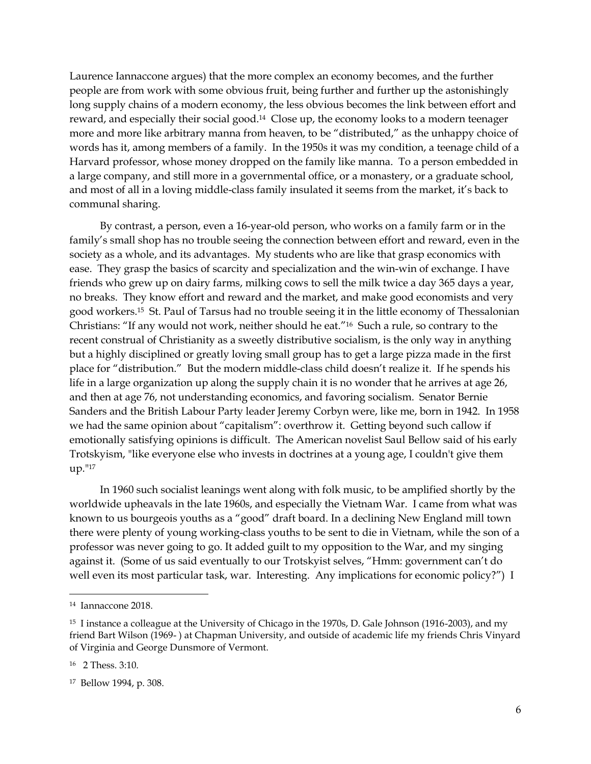Laurence Iannaccone argues) that the more complex an economy becomes, and the further people are from work with some obvious fruit, being further and further up the astonishingly long supply chains of a modern economy, the less obvious becomes the link between effort and reward, and especially their social good. <sup>14</sup> Close up, the economy looks to a modern teenager more and more like arbitrary manna from heaven, to be "distributed," as the unhappy choice of words has it, among members of a family. In the 1950s it was my condition, a teenage child of a Harvard professor, whose money dropped on the family like manna. To a person embedded in a large company, and still more in a governmental office, or a monastery, or a graduate school, and most of all in a loving middle-class family insulated it seems from the market, it's back to communal sharing.

By contrast, a person, even a 16-year-old person, who works on a family farm or in the family's small shop has no trouble seeing the connection between effort and reward, even in the society as a whole, and its advantages. My students who are like that grasp economics with ease. They grasp the basics of scarcity and specialization and the win-win of exchange. I have friends who grew up on dairy farms, milking cows to sell the milk twice a day 365 days a year, no breaks. They know effort and reward and the market, and make good economists and very good workers.15 St. Paul of Tarsus had no trouble seeing it in the little economy of Thessalonian Christians: "If any would not work, neither should he eat."16 Such a rule, so contrary to the recent construal of Christianity as a sweetly distributive socialism, is the only way in anything but a highly disciplined or greatly loving small group has to get a large pizza made in the first place for "distribution." But the modern middle-class child doesn't realize it. If he spends his life in a large organization up along the supply chain it is no wonder that he arrives at age 26, and then at age 76, not understanding economics, and favoring socialism. Senator Bernie Sanders and the British Labour Party leader Jeremy Corbyn were, like me, born in 1942. In 1958 we had the same opinion about "capitalism": overthrow it. Getting beyond such callow if emotionally satisfying opinions is difficult. The American novelist Saul Bellow said of his early Trotskyism, "like everyone else who invests in doctrines at a young age, I couldn't give them up."<sup>17</sup>

In 1960 such socialist leanings went along with folk music, to be amplified shortly by the worldwide upheavals in the late 1960s, and especially the Vietnam War. I came from what was known to us bourgeois youths as a "good" draft board. In a declining New England mill town there were plenty of young working-class youths to be sent to die in Vietnam, while the son of a professor was never going to go. It added guilt to my opposition to the War, and my singing against it. (Some of us said eventually to our Trotskyist selves, "Hmm: government can't do well even its most particular task, war. Interesting. Any implications for economic policy?") I

<sup>14</sup> Iannaccone 2018.

<sup>&</sup>lt;sup>15</sup> I instance a colleague at the University of Chicago in the 1970s, D. Gale Johnson (1916-2003), and my friend Bart Wilson (1969- ) at Chapman University, and outside of academic life my friends Chris Vinyard of Virginia and George Dunsmore of Vermont.

<sup>16</sup> 2 Thess. 3:10.

<sup>17</sup> Bellow 1994, p. 308.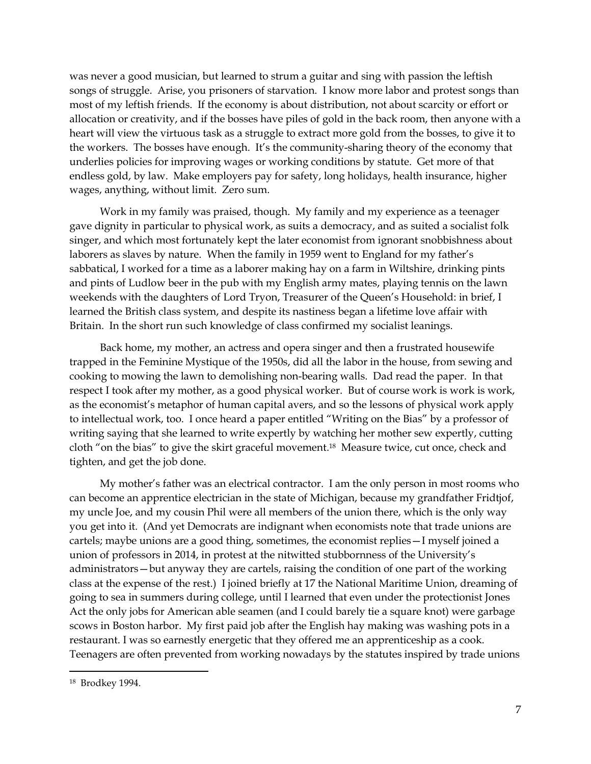was never a good musician, but learned to strum a guitar and sing with passion the leftish songs of struggle. Arise, you prisoners of starvation. I know more labor and protest songs than most of my leftish friends. If the economy is about distribution, not about scarcity or effort or allocation or creativity, and if the bosses have piles of gold in the back room, then anyone with a heart will view the virtuous task as a struggle to extract more gold from the bosses, to give it to the workers. The bosses have enough. It's the community-sharing theory of the economy that underlies policies for improving wages or working conditions by statute. Get more of that endless gold, by law. Make employers pay for safety, long holidays, health insurance, higher wages, anything, without limit. Zero sum.

Work in my family was praised, though. My family and my experience as a teenager gave dignity in particular to physical work, as suits a democracy, and as suited a socialist folk singer, and which most fortunately kept the later economist from ignorant snobbishness about laborers as slaves by nature. When the family in 1959 went to England for my father's sabbatical, I worked for a time as a laborer making hay on a farm in Wiltshire, drinking pints and pints of Ludlow beer in the pub with my English army mates, playing tennis on the lawn weekends with the daughters of Lord Tryon, Treasurer of the Queen's Household: in brief, I learned the British class system, and despite its nastiness began a lifetime love affair with Britain. In the short run such knowledge of class confirmed my socialist leanings.

Back home, my mother, an actress and opera singer and then a frustrated housewife trapped in the Feminine Mystique of the 1950s, did all the labor in the house, from sewing and cooking to mowing the lawn to demolishing non-bearing walls. Dad read the paper. In that respect I took after my mother, as a good physical worker. But of course work is work is work, as the economist's metaphor of human capital avers, and so the lessons of physical work apply to intellectual work, too. I once heard a paper entitled "Writing on the Bias" by a professor of writing saying that she learned to write expertly by watching her mother sew expertly, cutting cloth "on the bias" to give the skirt graceful movement. <sup>18</sup> Measure twice, cut once, check and tighten, and get the job done.

My mother's father was an electrical contractor. I am the only person in most rooms who can become an apprentice electrician in the state of Michigan, because my grandfather Fridtjof, my uncle Joe, and my cousin Phil were all members of the union there, which is the only way you get into it. (And yet Democrats are indignant when economists note that trade unions are cartels; maybe unions are a good thing, sometimes, the economist replies—I myself joined a union of professors in 2014, in protest at the nitwitted stubbornness of the University's administrators—but anyway they are cartels, raising the condition of one part of the working class at the expense of the rest.) I joined briefly at 17 the National Maritime Union, dreaming of going to sea in summers during college, until I learned that even under the protectionist Jones Act the only jobs for American able seamen (and I could barely tie a square knot) were garbage scows in Boston harbor. My first paid job after the English hay making was washing pots in a restaurant. I was so earnestly energetic that they offered me an apprenticeship as a cook. Teenagers are often prevented from working nowadays by the statutes inspired by trade unions

<sup>18</sup> Brodkey 1994.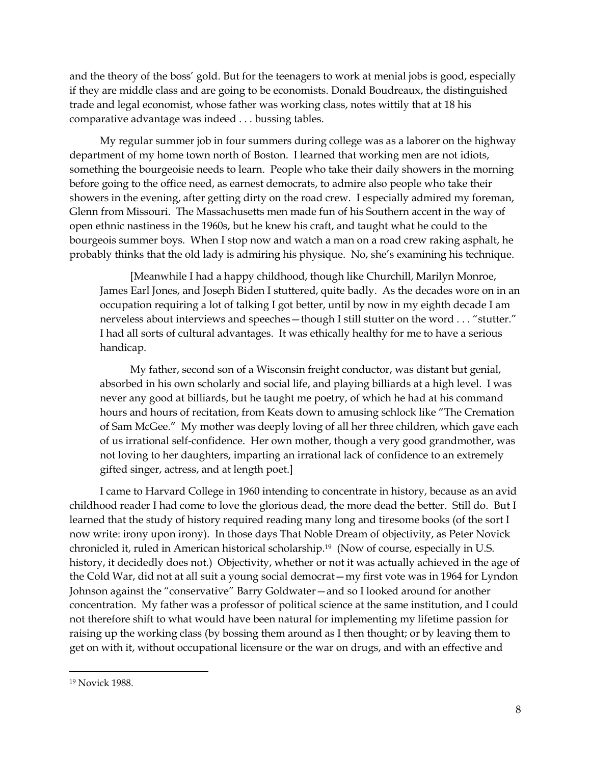and the theory of the boss' gold. But for the teenagers to work at menial jobs is good, especially if they are middle class and are going to be economists. Donald Boudreaux, the distinguished trade and legal economist, whose father was working class, notes wittily that at 18 his comparative advantage was indeed . . . bussing tables.

My regular summer job in four summers during college was as a laborer on the highway department of my home town north of Boston. I learned that working men are not idiots, something the bourgeoisie needs to learn. People who take their daily showers in the morning before going to the office need, as earnest democrats, to admire also people who take their showers in the evening, after getting dirty on the road crew. I especially admired my foreman, Glenn from Missouri. The Massachusetts men made fun of his Southern accent in the way of open ethnic nastiness in the 1960s, but he knew his craft, and taught what he could to the bourgeois summer boys. When I stop now and watch a man on a road crew raking asphalt, he probably thinks that the old lady is admiring his physique. No, she's examining his technique.

[Meanwhile I had a happy childhood, though like Churchill, Marilyn Monroe, James Earl Jones, and Joseph Biden I stuttered, quite badly. As the decades wore on in an occupation requiring a lot of talking I got better, until by now in my eighth decade I am nerveless about interviews and speeches—though I still stutter on the word . . . "stutter." I had all sorts of cultural advantages. It was ethically healthy for me to have a serious handicap.

My father, second son of a Wisconsin freight conductor, was distant but genial, absorbed in his own scholarly and social life, and playing billiards at a high level. I was never any good at billiards, but he taught me poetry, of which he had at his command hours and hours of recitation, from Keats down to amusing schlock like "The Cremation of Sam McGee." My mother was deeply loving of all her three children, which gave each of us irrational self-confidence. Her own mother, though a very good grandmother, was not loving to her daughters, imparting an irrational lack of confidence to an extremely gifted singer, actress, and at length poet.]

I came to Harvard College in 1960 intending to concentrate in history, because as an avid childhood reader I had come to love the glorious dead, the more dead the better. Still do. But I learned that the study of history required reading many long and tiresome books (of the sort I now write: irony upon irony). In those days That Noble Dream of objectivity, as Peter Novick chronicled it, ruled in American historical scholarship.<sup>19</sup> (Now of course, especially in U.S. history, it decidedly does not.) Objectivity, whether or not it was actually achieved in the age of the Cold War, did not at all suit a young social democrat—my first vote was in 1964 for Lyndon Johnson against the "conservative" Barry Goldwater—and so I looked around for another concentration. My father was a professor of political science at the same institution, and I could not therefore shift to what would have been natural for implementing my lifetime passion for raising up the working class (by bossing them around as I then thought; or by leaving them to get on with it, without occupational licensure or the war on drugs, and with an effective and

<sup>19</sup> Novick 1988.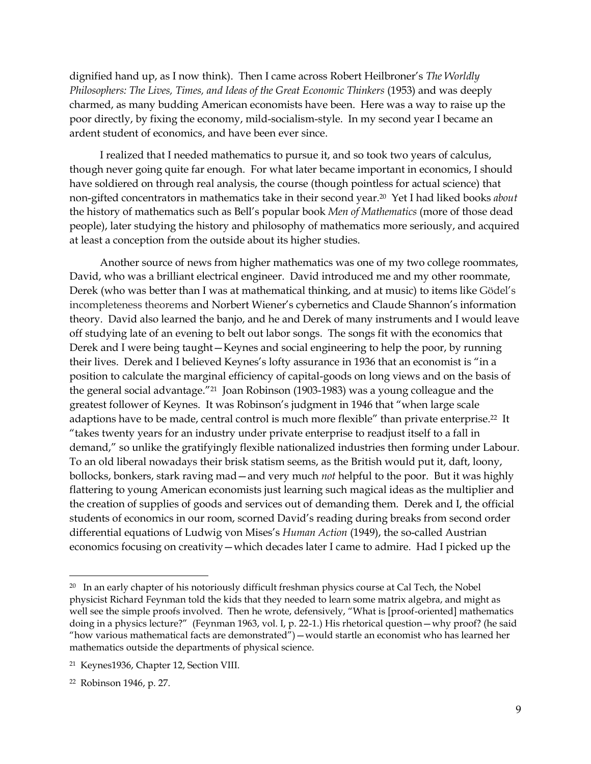dignified hand up, as I now think). Then I came across Robert Heilbroner's *The Worldly Philosophers: The Lives, Times, and Ideas of the Great Economic Thinkers* (1953) and was deeply charmed, as many budding American economists have been. Here was a way to raise up the poor directly, by fixing the economy, mild-socialism-style. In my second year I became an ardent student of economics, and have been ever since.

I realized that I needed mathematics to pursue it, and so took two years of calculus, though never going quite far enough. For what later became important in economics, I should have soldiered on through real analysis, the course (though pointless for actual science) that non-gifted concentrators in mathematics take in their second year.<sup>20</sup> Yet I had liked books *about* the history of mathematics such as Bell's popular book *Men of Mathematics* (more of those dead people), later studying the history and philosophy of mathematics more seriously, and acquired at least a conception from the outside about its higher studies.

Another source of news from higher mathematics was one of my two college roommates, David, who was a brilliant electrical engineer. David introduced me and my other roommate, Derek (who was better than I was at mathematical thinking, and at music) to items like Gödel's incompleteness theorems and Norbert Wiener's cybernetics and Claude Shannon's information theory. David also learned the banjo, and he and Derek of many instruments and I would leave off studying late of an evening to belt out labor songs. The songs fit with the economics that Derek and I were being taught—Keynes and social engineering to help the poor, by running their lives. Derek and I believed Keynes's lofty assurance in 1936 that an economist is "in a position to calculate the marginal efficiency of capital-goods on long views and on the basis of the general social advantage."21 Joan Robinson (1903-1983) was a young colleague and the greatest follower of Keynes. It was Robinson's judgment in 1946 that "when large scale adaptions have to be made, central control is much more flexible" than private enterprise.<sup>22</sup> It "takes twenty years for an industry under private enterprise to readjust itself to a fall in demand," so unlike the gratifyingly flexible nationalized industries then forming under Labour. To an old liberal nowadays their brisk statism seems, as the British would put it, daft, loony, bollocks, bonkers, stark raving mad—and very much *not* helpful to the poor. But it was highly flattering to young American economists just learning such magical ideas as the multiplier and the creation of supplies of goods and services out of demanding them. Derek and I, the official students of economics in our room, scorned David's reading during breaks from second order differential equations of Ludwig von Mises's *Human Action* (1949), the so-called Austrian economics focusing on creativity—which decades later I came to admire. Had I picked up the

 $20$  In an early chapter of his notoriously difficult freshman physics course at Cal Tech, the Nobel physicist Richard Feynman told the kids that they needed to learn some matrix algebra, and might as well see the simple proofs involved. Then he wrote, defensively, "What is [proof-oriented] mathematics doing in a physics lecture?" (Feynman 1963, vol. I, p. 22-1.) His rhetorical question—why proof? (he said "how various mathematical facts are demonstrated")—would startle an economist who has learned her mathematics outside the departments of physical science.

<sup>21</sup> Keynes1936, Chapter 12, Section VIII.

<sup>22</sup> Robinson 1946, p. 27.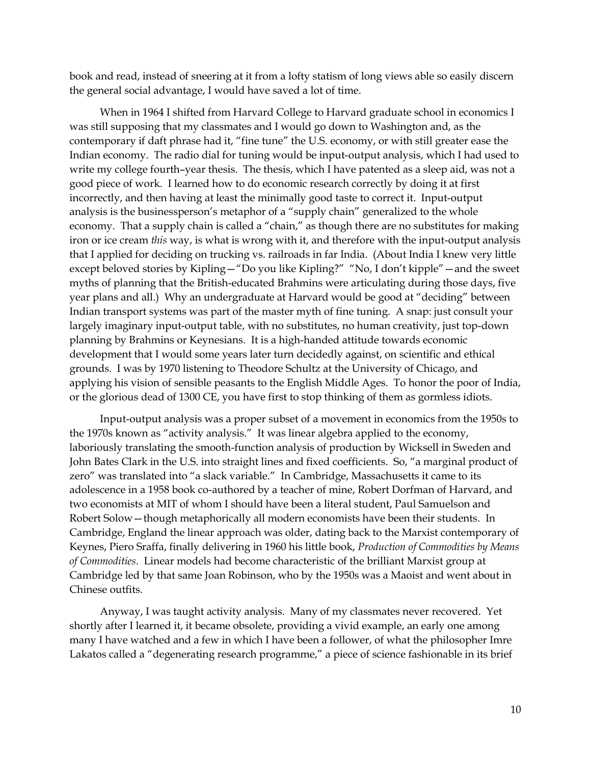book and read, instead of sneering at it from a lofty statism of long views able so easily discern the general social advantage, I would have saved a lot of time.

When in 1964 I shifted from Harvard College to Harvard graduate school in economics I was still supposing that my classmates and I would go down to Washington and, as the contemporary if daft phrase had it, "fine tune" the U.S. economy, or with still greater ease the Indian economy. The radio dial for tuning would be input-output analysis, which I had used to write my college fourth–year thesis. The thesis, which I have patented as a sleep aid, was not a good piece of work. I learned how to do economic research correctly by doing it at first incorrectly, and then having at least the minimally good taste to correct it. Input-output analysis is the businessperson's metaphor of a "supply chain" generalized to the whole economy. That a supply chain is called a "chain," as though there are no substitutes for making iron or ice cream *this* way, is what is wrong with it, and therefore with the input-output analysis that I applied for deciding on trucking vs. railroads in far India. (About India I knew very little except beloved stories by Kipling—"Do you like Kipling?" "No, I don't kipple"—and the sweet myths of planning that the British-educated Brahmins were articulating during those days, five year plans and all.) Why an undergraduate at Harvard would be good at "deciding" between Indian transport systems was part of the master myth of fine tuning. A snap: just consult your largely imaginary input-output table, with no substitutes, no human creativity, just top-down planning by Brahmins or Keynesians. It is a high-handed attitude towards economic development that I would some years later turn decidedly against, on scientific and ethical grounds. I was by 1970 listening to Theodore Schultz at the University of Chicago, and applying his vision of sensible peasants to the English Middle Ages. To honor the poor of India, or the glorious dead of 1300 CE, you have first to stop thinking of them as gormless idiots.

Input-output analysis was a proper subset of a movement in economics from the 1950s to the 1970s known as "activity analysis." It was linear algebra applied to the economy, laboriously translating the smooth-function analysis of production by Wicksell in Sweden and John Bates Clark in the U.S. into straight lines and fixed coefficients. So, "a marginal product of zero" was translated into "a slack variable." In Cambridge, Massachusetts it came to its adolescence in a 1958 book co-authored by a teacher of mine, Robert Dorfman of Harvard, and two economists at MIT of whom I should have been a literal student, Paul Samuelson and Robert Solow—though metaphorically all modern economists have been their students. In Cambridge, England the linear approach was older, dating back to the Marxist contemporary of Keynes, Piero Sraffa, finally delivering in 1960 his little book, *Production of Commodities by Means of Commodities*. Linear models had become characteristic of the brilliant Marxist group at Cambridge led by that same Joan Robinson, who by the 1950s was a Maoist and went about in Chinese outfits.

Anyway, I was taught activity analysis. Many of my classmates never recovered. Yet shortly after I learned it, it became obsolete, providing a vivid example, an early one among many I have watched and a few in which I have been a follower, of what the philosopher Imre Lakatos called a "degenerating research programme," a piece of science fashionable in its brief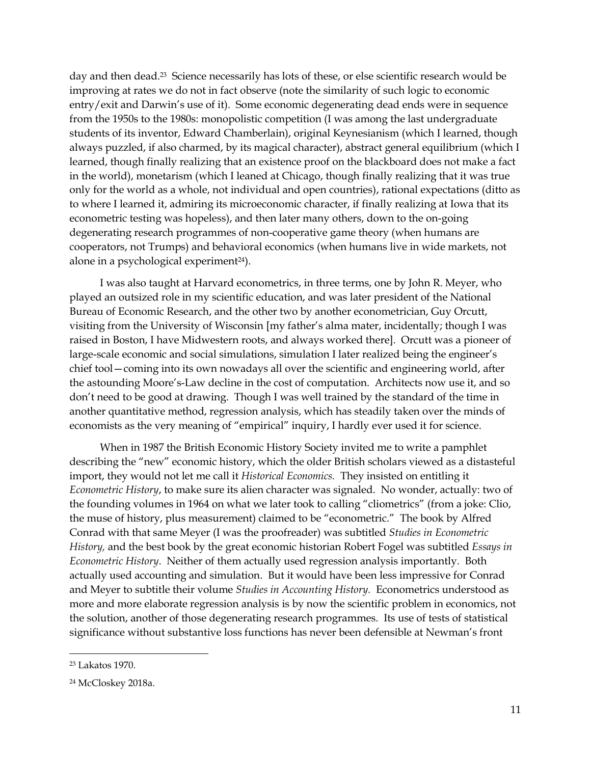day and then dead.<sup>23</sup> Science necessarily has lots of these, or else scientific research would be improving at rates we do not in fact observe (note the similarity of such logic to economic entry/exit and Darwin's use of it). Some economic degenerating dead ends were in sequence from the 1950s to the 1980s: monopolistic competition (I was among the last undergraduate students of its inventor, Edward Chamberlain), original Keynesianism (which I learned, though always puzzled, if also charmed, by its magical character), abstract general equilibrium (which I learned, though finally realizing that an existence proof on the blackboard does not make a fact in the world), monetarism (which I leaned at Chicago, though finally realizing that it was true only for the world as a whole, not individual and open countries), rational expectations (ditto as to where I learned it, admiring its microeconomic character, if finally realizing at Iowa that its econometric testing was hopeless), and then later many others, down to the on-going degenerating research programmes of non-cooperative game theory (when humans are cooperators, not Trumps) and behavioral economics (when humans live in wide markets, not alone in a psychological experiment<sup>24</sup>).

I was also taught at Harvard econometrics, in three terms, one by John R. Meyer, who played an outsized role in my scientific education, and was later president of the National Bureau of Economic Research, and the other two by another econometrician, Guy Orcutt, visiting from the University of Wisconsin [my father's alma mater, incidentally; though I was raised in Boston, I have Midwestern roots, and always worked there]. Orcutt was a pioneer of large-scale economic and social simulations, simulation I later realized being the engineer's chief tool—coming into its own nowadays all over the scientific and engineering world, after the astounding Moore's-Law decline in the cost of computation. Architects now use it, and so don't need to be good at drawing. Though I was well trained by the standard of the time in another quantitative method, regression analysis, which has steadily taken over the minds of economists as the very meaning of "empirical" inquiry, I hardly ever used it for science.

When in 1987 the British Economic History Society invited me to write a pamphlet describing the "new" economic history, which the older British scholars viewed as a distasteful import, they would not let me call it *Historical Economics.* They insisted on entitling it *Econometric History*, to make sure its alien character was signaled. No wonder, actually: two of the founding volumes in 1964 on what we later took to calling "cliometrics" (from a joke: Clio, the muse of history, plus measurement) claimed to be "econometric." The book by Alfred Conrad with that same Meyer (I was the proofreader) was subtitled *Studies in Econometric History,* and the best book by the great economic historian Robert Fogel was subtitled *Essays in Econometric History*. Neither of them actually used regression analysis importantly. Both actually used accounting and simulation. But it would have been less impressive for Conrad and Meyer to subtitle their volume *Studies in Accounting History.* Econometrics understood as more and more elaborate regression analysis is by now the scientific problem in economics, not the solution, another of those degenerating research programmes. Its use of tests of statistical significance without substantive loss functions has never been defensible at Newman's front

<sup>23</sup> Lakatos 1970.

<sup>24</sup> McCloskey 2018a.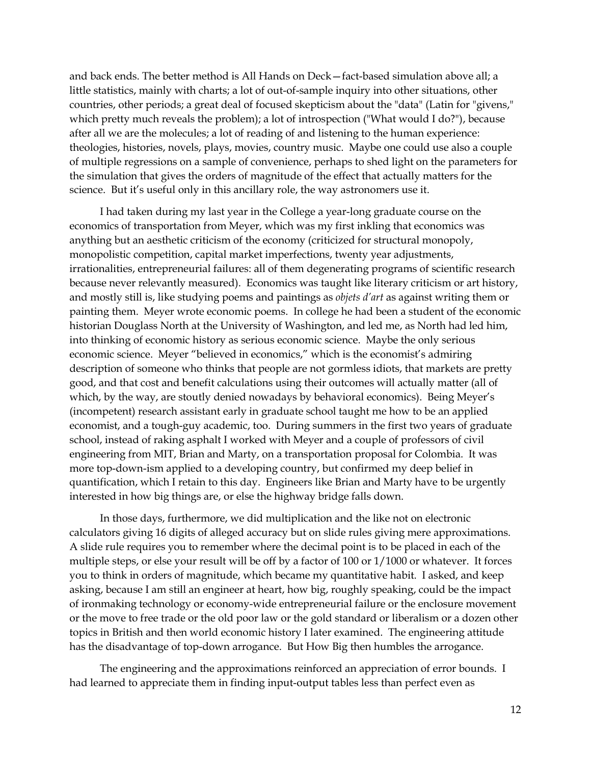and back ends. The better method is All Hands on Deck—fact-based simulation above all; a little statistics, mainly with charts; a lot of out-of-sample inquiry into other situations, other countries, other periods; a great deal of focused skepticism about the "data" (Latin for "givens," which pretty much reveals the problem); a lot of introspection ("What would I do?"), because after all we are the molecules; a lot of reading of and listening to the human experience: theologies, histories, novels, plays, movies, country music. Maybe one could use also a couple of multiple regressions on a sample of convenience, perhaps to shed light on the parameters for the simulation that gives the orders of magnitude of the effect that actually matters for the science. But it's useful only in this ancillary role, the way astronomers use it.

I had taken during my last year in the College a year-long graduate course on the economics of transportation from Meyer, which was my first inkling that economics was anything but an aesthetic criticism of the economy (criticized for structural monopoly, monopolistic competition, capital market imperfections, twenty year adjustments, irrationalities, entrepreneurial failures: all of them degenerating programs of scientific research because never relevantly measured). Economics was taught like literary criticism or art history, and mostly still is, like studying poems and paintings as *objets d'art* as against writing them or painting them. Meyer wrote economic poems. In college he had been a student of the economic historian Douglass North at the University of Washington, and led me, as North had led him, into thinking of economic history as serious economic science. Maybe the only serious economic science. Meyer "believed in economics," which is the economist's admiring description of someone who thinks that people are not gormless idiots, that markets are pretty good, and that cost and benefit calculations using their outcomes will actually matter (all of which, by the way, are stoutly denied nowadays by behavioral economics). Being Meyer's (incompetent) research assistant early in graduate school taught me how to be an applied economist, and a tough-guy academic, too. During summers in the first two years of graduate school, instead of raking asphalt I worked with Meyer and a couple of professors of civil engineering from MIT, Brian and Marty, on a transportation proposal for Colombia. It was more top-down-ism applied to a developing country, but confirmed my deep belief in quantification, which I retain to this day. Engineers like Brian and Marty have to be urgently interested in how big things are, or else the highway bridge falls down.

In those days, furthermore, we did multiplication and the like not on electronic calculators giving 16 digits of alleged accuracy but on slide rules giving mere approximations. A slide rule requires you to remember where the decimal point is to be placed in each of the multiple steps, or else your result will be off by a factor of 100 or 1/1000 or whatever. It forces you to think in orders of magnitude, which became my quantitative habit. I asked, and keep asking, because I am still an engineer at heart, how big, roughly speaking, could be the impact of ironmaking technology or economy-wide entrepreneurial failure or the enclosure movement or the move to free trade or the old poor law or the gold standard or liberalism or a dozen other topics in British and then world economic history I later examined. The engineering attitude has the disadvantage of top-down arrogance. But How Big then humbles the arrogance.

The engineering and the approximations reinforced an appreciation of error bounds. I had learned to appreciate them in finding input-output tables less than perfect even as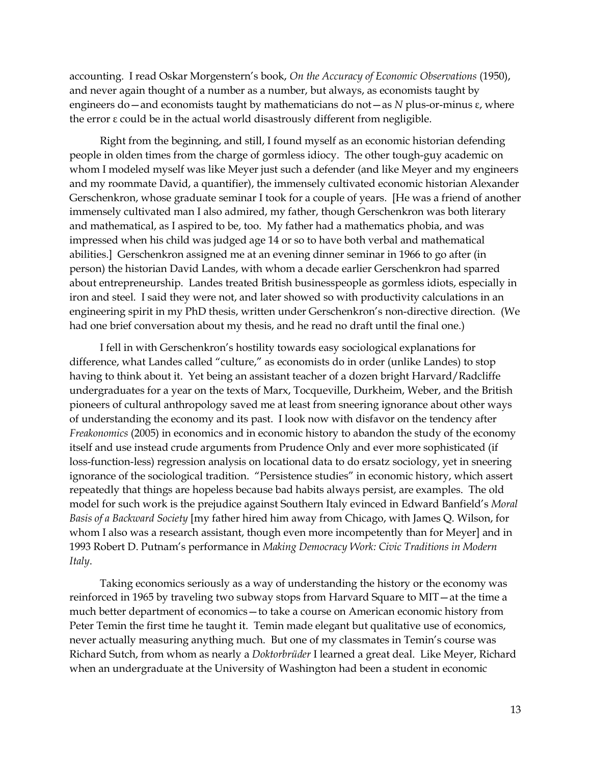accounting. I read Oskar Morgenstern's book, *On the Accuracy of Economic Observations* (1950), and never again thought of a number as a number, but always, as economists taught by engineers do—and economists taught by mathematicians do not—as *N* plus-or-minus ε, where the error ε could be in the actual world disastrously different from negligible.

Right from the beginning, and still, I found myself as an economic historian defending people in olden times from the charge of gormless idiocy. The other tough-guy academic on whom I modeled myself was like Meyer just such a defender (and like Meyer and my engineers and my roommate David, a quantifier), the immensely cultivated economic historian Alexander Gerschenkron, whose graduate seminar I took for a couple of years. [He was a friend of another immensely cultivated man I also admired, my father, though Gerschenkron was both literary and mathematical, as I aspired to be, too. My father had a mathematics phobia, and was impressed when his child was judged age 14 or so to have both verbal and mathematical abilities.] Gerschenkron assigned me at an evening dinner seminar in 1966 to go after (in person) the historian David Landes, with whom a decade earlier Gerschenkron had sparred about entrepreneurship. Landes treated British businesspeople as gormless idiots, especially in iron and steel. I said they were not, and later showed so with productivity calculations in an engineering spirit in my PhD thesis, written under Gerschenkron's non-directive direction. (We had one brief conversation about my thesis, and he read no draft until the final one.)

I fell in with Gerschenkron's hostility towards easy sociological explanations for difference, what Landes called "culture," as economists do in order (unlike Landes) to stop having to think about it. Yet being an assistant teacher of a dozen bright Harvard/Radcliffe undergraduates for a year on the texts of Marx, Tocqueville, Durkheim, Weber, and the British pioneers of cultural anthropology saved me at least from sneering ignorance about other ways of understanding the economy and its past. I look now with disfavor on the tendency after *Freakonomics* (2005) in economics and in economic history to abandon the study of the economy itself and use instead crude arguments from Prudence Only and ever more sophisticated (if loss-function-less) regression analysis on locational data to do ersatz sociology, yet in sneering ignorance of the sociological tradition. "Persistence studies" in economic history, which assert repeatedly that things are hopeless because bad habits always persist, are examples. The old model for such work is the prejudice against Southern Italy evinced in Edward Banfield's *Moral Basis of a Backward Society* [my father hired him away from Chicago, with James Q. Wilson, for whom I also was a research assistant, though even more incompetently than for Meyer] and in 1993 Robert D. Putnam's performance in *Making Democracy Work: Civic Traditions in Modern Italy*.

Taking economics seriously as a way of understanding the history or the economy was reinforced in 1965 by traveling two subway stops from Harvard Square to MIT—at the time a much better department of economics—to take a course on American economic history from Peter Temin the first time he taught it. Temin made elegant but qualitative use of economics, never actually measuring anything much. But one of my classmates in Temin's course was Richard Sutch, from whom as nearly a *Doktorbrüder* I learned a great deal. Like Meyer, Richard when an undergraduate at the University of Washington had been a student in economic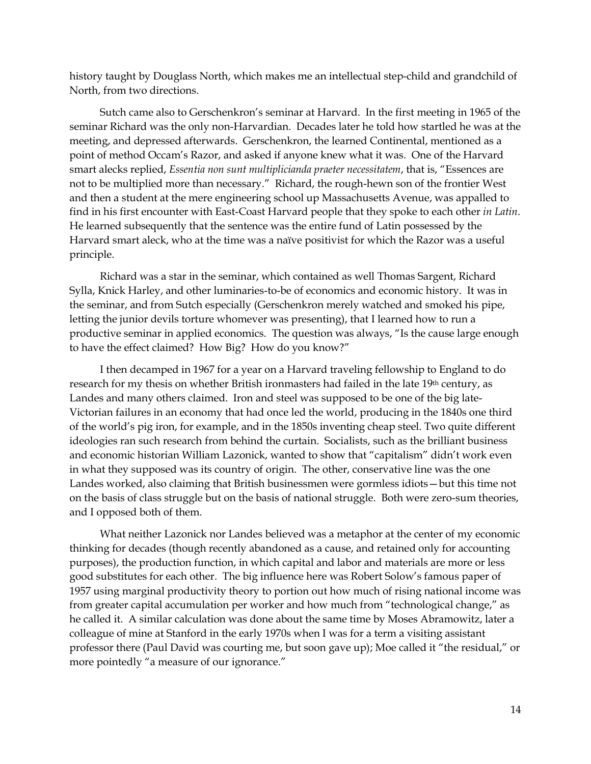history taught by Douglass North, which makes me an intellectual step-child and grandchild of North, from two directions.

Sutch came also to Gerschenkron's seminar at Harvard. In the first meeting in 1965 of the seminar Richard was the only non-Harvardian. Decades later he told how startled he was at the meeting, and depressed afterwards. Gerschenkron, the learned Continental, mentioned as a point of method Occam's Razor, and asked if anyone knew what it was. One of the Harvard smart alecks replied, *Essentia non sunt multiplicianda praeter necessitatem*, that is, "Essences are not to be multiplied more than necessary." Richard, the rough-hewn son of the frontier West and then a student at the mere engineering school up Massachusetts Avenue, was appalled to find in his first encounter with East-Coast Harvard people that they spoke to each other *in Latin*. He learned subsequently that the sentence was the entire fund of Latin possessed by the Harvard smart aleck, who at the time was a naïve positivist for which the Razor was a useful principle.

Richard was a star in the seminar, which contained as well Thomas Sargent, Richard Sylla, Knick Harley, and other luminaries-to-be of economics and economic history. It was in the seminar, and from Sutch especially (Gerschenkron merely watched and smoked his pipe, letting the junior devils torture whomever was presenting), that I learned how to run a productive seminar in applied economics. The question was always, "Is the cause large enough to have the effect claimed? How Big? How do you know?"

I then decamped in 1967 for a year on a Harvard traveling fellowship to England to do research for my thesis on whether British ironmasters had failed in the late 19<sup>th</sup> century, as Landes and many others claimed. Iron and steel was supposed to be one of the big late-Victorian failures in an economy that had once led the world, producing in the 1840s one third of the world's pig iron, for example, and in the 1850s inventing cheap steel. Two quite different ideologies ran such research from behind the curtain. Socialists, such as the brilliant business and economic historian William Lazonick, wanted to show that "capitalism" didn't work even in what they supposed was its country of origin. The other, conservative line was the one Landes worked, also claiming that British businessmen were gormless idiots—but this time not on the basis of class struggle but on the basis of national struggle. Both were zero-sum theories, and I opposed both of them.

What neither Lazonick nor Landes believed was a metaphor at the center of my economic thinking for decades (though recently abandoned as a cause, and retained only for accounting purposes), the production function, in which capital and labor and materials are more or less good substitutes for each other. The big influence here was Robert Solow's famous paper of 1957 using marginal productivity theory to portion out how much of rising national income was from greater capital accumulation per worker and how much from "technological change," as he called it. A similar calculation was done about the same time by Moses Abramowitz, later a colleague of mine at Stanford in the early 1970s when I was for a term a visiting assistant professor there (Paul David was courting me, but soon gave up); Moe called it "the residual," or more pointedly "a measure of our ignorance."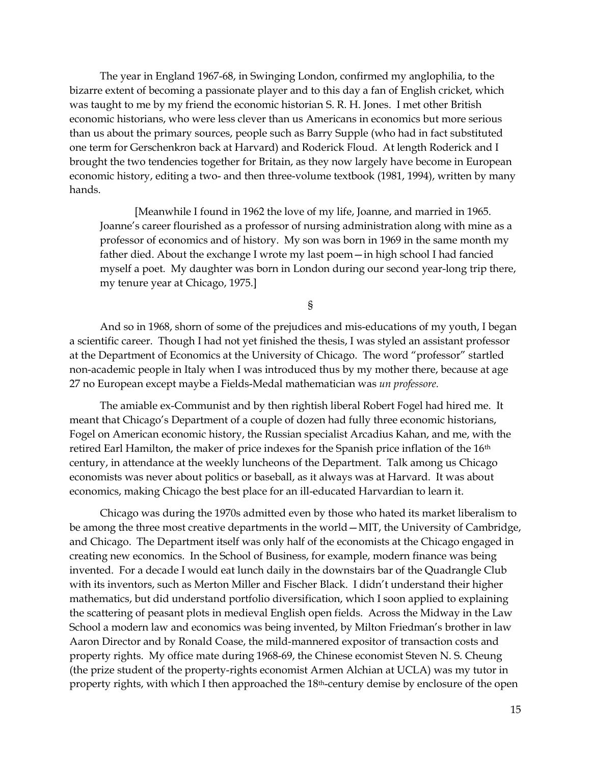The year in England 1967-68, in Swinging London, confirmed my anglophilia, to the bizarre extent of becoming a passionate player and to this day a fan of English cricket, which was taught to me by my friend the economic historian S. R. H. Jones. I met other British economic historians, who were less clever than us Americans in economics but more serious than us about the primary sources, people such as Barry Supple (who had in fact substituted one term for Gerschenkron back at Harvard) and Roderick Floud. At length Roderick and I brought the two tendencies together for Britain, as they now largely have become in European economic history, editing a two- and then three-volume textbook (1981, 1994), written by many hands.

[Meanwhile I found in 1962 the love of my life, Joanne, and married in 1965. Joanne's career flourished as a professor of nursing administration along with mine as a professor of economics and of history. My son was born in 1969 in the same month my father died. About the exchange I wrote my last poem—in high school I had fancied myself a poet. My daughter was born in London during our second year-long trip there, my tenure year at Chicago, 1975.]

§

And so in 1968, shorn of some of the prejudices and mis-educations of my youth, I began a scientific career. Though I had not yet finished the thesis, I was styled an assistant professor at the Department of Economics at the University of Chicago. The word "professor" startled non-academic people in Italy when I was introduced thus by my mother there, because at age 27 no European except maybe a Fields-Medal mathematician was *un professore.*

The amiable ex-Communist and by then rightish liberal Robert Fogel had hired me. It meant that Chicago's Department of a couple of dozen had fully three economic historians, Fogel on American economic history, the Russian specialist Arcadius Kahan, and me, with the retired Earl Hamilton, the maker of price indexes for the Spanish price inflation of the 16<sup>th</sup> century, in attendance at the weekly luncheons of the Department. Talk among us Chicago economists was never about politics or baseball, as it always was at Harvard. It was about economics, making Chicago the best place for an ill-educated Harvardian to learn it.

Chicago was during the 1970s admitted even by those who hated its market liberalism to be among the three most creative departments in the world—MIT, the University of Cambridge, and Chicago. The Department itself was only half of the economists at the Chicago engaged in creating new economics. In the School of Business, for example, modern finance was being invented. For a decade I would eat lunch daily in the downstairs bar of the Quadrangle Club with its inventors, such as Merton Miller and Fischer Black. I didn't understand their higher mathematics, but did understand portfolio diversification, which I soon applied to explaining the scattering of peasant plots in medieval English open fields. Across the Midway in the Law School a modern law and economics was being invented, by Milton Friedman's brother in law Aaron Director and by Ronald Coase, the mild-mannered expositor of transaction costs and property rights. My office mate during 1968-69, the Chinese economist Steven N. S. Cheung (the prize student of the property-rights economist Armen Alchian at UCLA) was my tutor in property rights, with which I then approached the 18<sup>th</sup>-century demise by enclosure of the open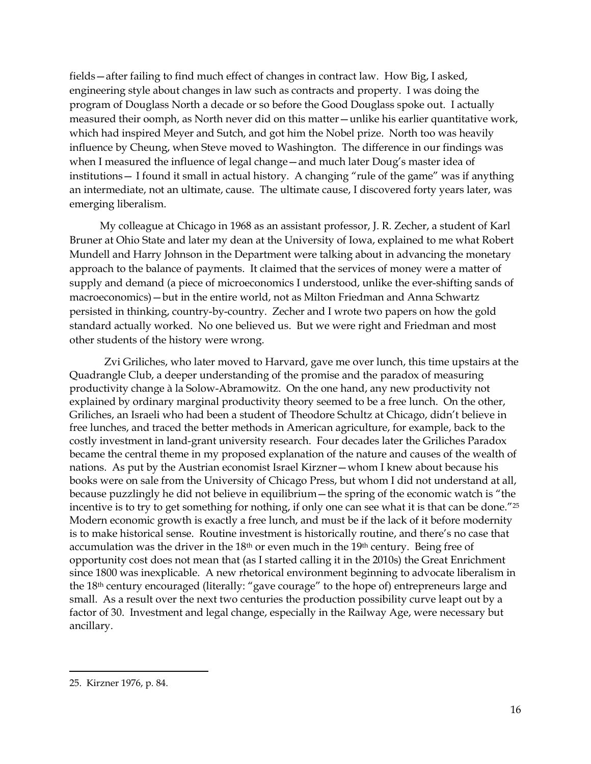fields—after failing to find much effect of changes in contract law. How Big, I asked, engineering style about changes in law such as contracts and property. I was doing the program of Douglass North a decade or so before the Good Douglass spoke out. I actually measured their oomph, as North never did on this matter—unlike his earlier quantitative work, which had inspired Meyer and Sutch, and got him the Nobel prize. North too was heavily influence by Cheung, when Steve moved to Washington. The difference in our findings was when I measured the influence of legal change—and much later Doug's master idea of institutions— I found it small in actual history. A changing "rule of the game" was if anything an intermediate, not an ultimate, cause. The ultimate cause, I discovered forty years later, was emerging liberalism.

My colleague at Chicago in 1968 as an assistant professor, J. R. Zecher, a student of Karl Bruner at Ohio State and later my dean at the University of Iowa, explained to me what Robert Mundell and Harry Johnson in the Department were talking about in advancing the monetary approach to the balance of payments. It claimed that the services of money were a matter of supply and demand (a piece of microeconomics I understood, unlike the ever-shifting sands of macroeconomics)—but in the entire world, not as Milton Friedman and Anna Schwartz persisted in thinking, country-by-country. Zecher and I wrote two papers on how the gold standard actually worked. No one believed us. But we were right and Friedman and most other students of the history were wrong.

Zvi Griliches, who later moved to Harvard, gave me over lunch, this time upstairs at the Quadrangle Club, a deeper understanding of the promise and the paradox of measuring productivity change à la Solow-Abramowitz. On the one hand, any new productivity not explained by ordinary marginal productivity theory seemed to be a free lunch. On the other, Griliches, an Israeli who had been a student of Theodore Schultz at Chicago, didn't believe in free lunches, and traced the better methods in American agriculture, for example, back to the costly investment in land-grant university research. Four decades later the Griliches Paradox became the central theme in my proposed explanation of the nature and causes of the wealth of nations. As put by the Austrian economist Israel Kirzner—whom I knew about because his books were on sale from the University of Chicago Press, but whom I did not understand at all, because puzzlingly he did not believe in equilibrium—the spring of the economic watch is "the incentive is to try to get something for nothing, if only one can see what it is that can be done."<sup>25</sup> Modern economic growth is exactly a free lunch, and must be if the lack of it before modernity is to make historical sense. Routine investment is historically routine, and there's no case that accumulation was the driver in the 18th or even much in the 19th century. Being free of opportunity cost does not mean that (as I started calling it in the 2010s) the Great Enrichment since 1800 was inexplicable. A new rhetorical environment beginning to advocate liberalism in the 18th century encouraged (literally: "gave courage" to the hope of) entrepreneurs large and small. As a result over the next two centuries the production possibility curve leapt out by a factor of 30. Investment and legal change, especially in the Railway Age, were necessary but ancillary.

<sup>25.</sup> Kirzner 1976, p. 84.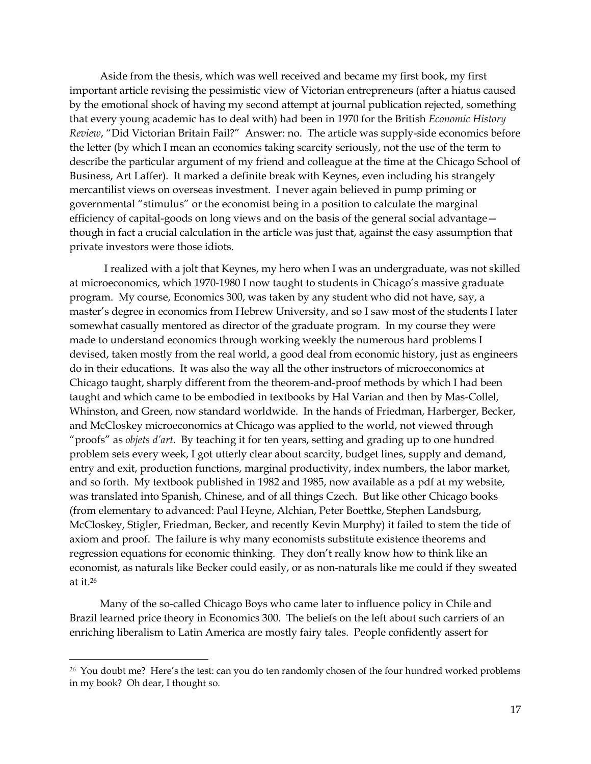Aside from the thesis, which was well received and became my first book, my first important article revising the pessimistic view of Victorian entrepreneurs (after a hiatus caused by the emotional shock of having my second attempt at journal publication rejected, something that every young academic has to deal with) had been in 1970 for the British *Economic History Review*, "Did Victorian Britain Fail?" Answer: no. The article was supply-side economics before the letter (by which I mean an economics taking scarcity seriously, not the use of the term to describe the particular argument of my friend and colleague at the time at the Chicago School of Business, Art Laffer). It marked a definite break with Keynes, even including his strangely mercantilist views on overseas investment. I never again believed in pump priming or governmental "stimulus" or the economist being in a position to calculate the marginal efficiency of capital-goods on long views and on the basis of the general social advantage though in fact a crucial calculation in the article was just that, against the easy assumption that private investors were those idiots.

I realized with a jolt that Keynes, my hero when I was an undergraduate, was not skilled at microeconomics, which 1970-1980 I now taught to students in Chicago's massive graduate program. My course, Economics 300, was taken by any student who did not have, say, a master's degree in economics from Hebrew University, and so I saw most of the students I later somewhat casually mentored as director of the graduate program. In my course they were made to understand economics through working weekly the numerous hard problems I devised, taken mostly from the real world, a good deal from economic history, just as engineers do in their educations. It was also the way all the other instructors of microeconomics at Chicago taught, sharply different from the theorem-and-proof methods by which I had been taught and which came to be embodied in textbooks by Hal Varian and then by Mas-Collel, Whinston, and Green, now standard worldwide. In the hands of Friedman, Harberger, Becker, and McCloskey microeconomics at Chicago was applied to the world, not viewed through "proofs" as *objets d'art*. By teaching it for ten years, setting and grading up to one hundred problem sets every week, I got utterly clear about scarcity, budget lines, supply and demand, entry and exit, production functions, marginal productivity, index numbers, the labor market, and so forth. My textbook published in 1982 and 1985, now available as a pdf at my website, was translated into Spanish, Chinese, and of all things Czech. But like other Chicago books (from elementary to advanced: Paul Heyne, Alchian, Peter Boettke, Stephen Landsburg, McCloskey, Stigler, Friedman, Becker, and recently Kevin Murphy) it failed to stem the tide of axiom and proof. The failure is why many economists substitute existence theorems and regression equations for economic thinking. They don't really know how to think like an economist, as naturals like Becker could easily, or as non-naturals like me could if they sweated at it. 26

Many of the so-called Chicago Boys who came later to influence policy in Chile and Brazil learned price theory in Economics 300. The beliefs on the left about such carriers of an enriching liberalism to Latin America are mostly fairy tales. People confidently assert for

<sup>26</sup> You doubt me? Here's the test: can you do ten randomly chosen of the four hundred worked problems in my book? Oh dear, I thought so.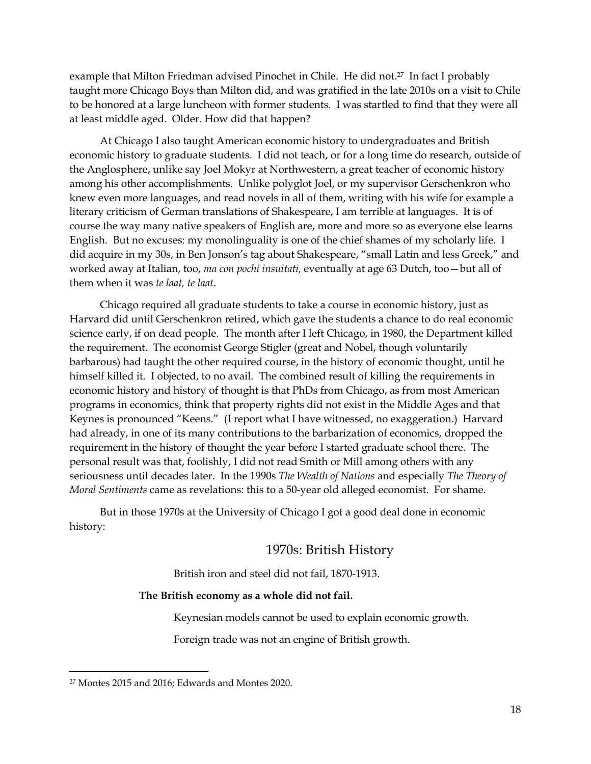example that Milton Friedman advised Pinochet in Chile. He did not.<sup>27</sup> In fact I probably taught more Chicago Boys than Milton did, and was gratified in the late 2010s on a visit to Chile to be honored at a large luncheon with former students. I was startled to find that they were all at least middle aged. Older. How did that happen?

At Chicago I also taught American economic history to undergraduates and British economic history to graduate students. I did not teach, or for a long time do research, outside of the Anglosphere, unlike say Joel Mokyr at Northwestern, a great teacher of economic history among his other accomplishments. Unlike polyglot Joel, or my supervisor Gerschenkron who knew even more languages, and read novels in all of them, writing with his wife for example a literary criticism of German translations of Shakespeare, I am terrible at languages. It is of course the way many native speakers of English are, more and more so as everyone else learns English. But no excuses: my monolinguality is one of the chief shames of my scholarly life. I did acquire in my 30s, in Ben Jonson's tag about Shakespeare, "small Latin and less Greek," and worked away at Italian, too, *ma con pochi insuitati,* eventually at age 63 Dutch, too—but all of them when it was *te laat, te laat*.

Chicago required all graduate students to take a course in economic history, just as Harvard did until Gerschenkron retired, which gave the students a chance to do real economic science early, if on dead people. The month after I left Chicago, in 1980, the Department killed the requirement. The economist George Stigler (great and Nobel, though voluntarily barbarous) had taught the other required course, in the history of economic thought, until he himself killed it. I objected, to no avail. The combined result of killing the requirements in economic history and history of thought is that PhDs from Chicago, as from most American programs in economics, think that property rights did not exist in the Middle Ages and that Keynes is pronounced "Keens." (I report what I have witnessed, no exaggeration.) Harvard had already, in one of its many contributions to the barbarization of economics, dropped the requirement in the history of thought the year before I started graduate school there. The personal result was that, foolishly, I did not read Smith or Mill among others with any seriousness until decades later. In the 1990s *The Wealth of Nations* and especially *The Theory of Moral Sentiments* came as revelations: this to a 50-year old alleged economist. For shame.

But in those 1970s at the University of Chicago I got a good deal done in economic history:

# 1970s: British History

British iron and steel did not fail, 1870-1913.

## **The British economy as a whole did not fail.**

Keynesian models cannot be used to explain economic growth.

Foreign trade was not an engine of British growth.

<sup>27</sup> Montes 2015 and 2016; Edwards and Montes 2020.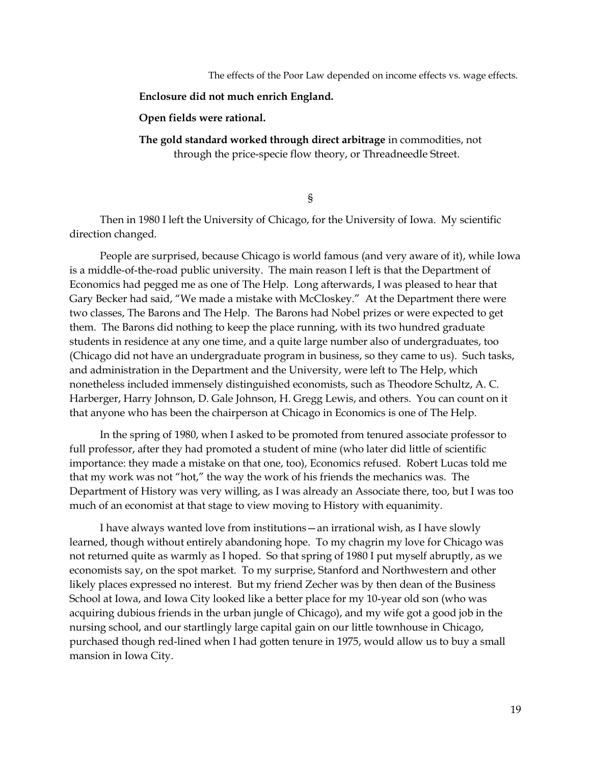The effects of the Poor Law depended on income effects vs. wage effects.

#### **Enclosure did not much enrich England.**

### **Open fields were rational.**

**The gold standard worked through direct arbitrage** in commodities, not through the price-specie flow theory, or Threadneedle Street.

§

Then in 1980 I left the University of Chicago, for the University of Iowa. My scientific direction changed.

People are surprised, because Chicago is world famous (and very aware of it), while Iowa is a middle-of-the-road public university. The main reason I left is that the Department of Economics had pegged me as one of The Help. Long afterwards, I was pleased to hear that Gary Becker had said, "We made a mistake with McCloskey." At the Department there were two classes, The Barons and The Help. The Barons had Nobel prizes or were expected to get them. The Barons did nothing to keep the place running, with its two hundred graduate students in residence at any one time, and a quite large number also of undergraduates, too (Chicago did not have an undergraduate program in business, so they came to us). Such tasks, and administration in the Department and the University, were left to The Help, which nonetheless included immensely distinguished economists, such as Theodore Schultz, A. C. Harberger, Harry Johnson, D. Gale Johnson, H. Gregg Lewis, and others. You can count on it that anyone who has been the chairperson at Chicago in Economics is one of The Help.

In the spring of 1980, when I asked to be promoted from tenured associate professor to full professor, after they had promoted a student of mine (who later did little of scientific importance: they made a mistake on that one, too), Economics refused. Robert Lucas told me that my work was not "hot," the way the work of his friends the mechanics was. The Department of History was very willing, as I was already an Associate there, too, but I was too much of an economist at that stage to view moving to History with equanimity.

I have always wanted love from institutions—an irrational wish, as I have slowly learned, though without entirely abandoning hope. To my chagrin my love for Chicago was not returned quite as warmly as I hoped. So that spring of 1980 I put myself abruptly, as we economists say, on the spot market. To my surprise, Stanford and Northwestern and other likely places expressed no interest. But my friend Zecher was by then dean of the Business School at Iowa, and Iowa City looked like a better place for my 10-year old son (who was acquiring dubious friends in the urban jungle of Chicago), and my wife got a good job in the nursing school, and our startlingly large capital gain on our little townhouse in Chicago, purchased though red-lined when I had gotten tenure in 1975, would allow us to buy a small mansion in Iowa City.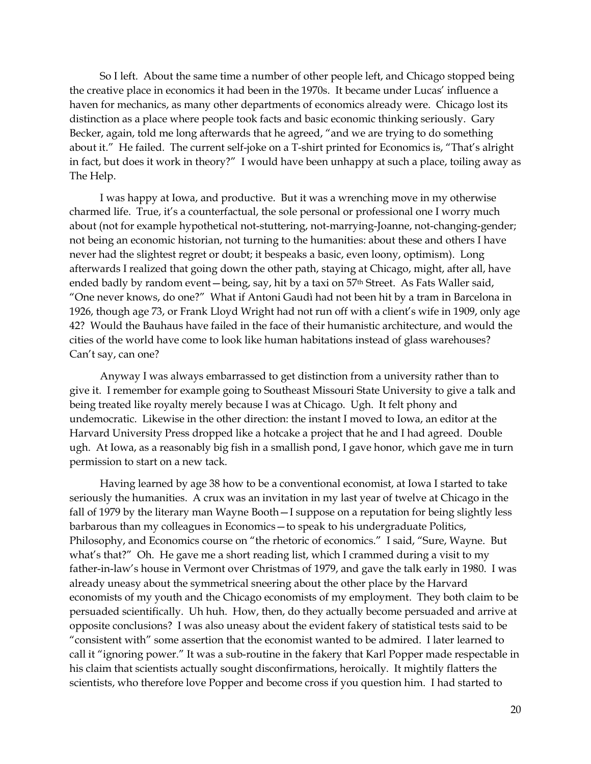So I left. About the same time a number of other people left, and Chicago stopped being the creative place in economics it had been in the 1970s. It became under Lucas' influence a haven for mechanics, as many other departments of economics already were. Chicago lost its distinction as a place where people took facts and basic economic thinking seriously. Gary Becker, again, told me long afterwards that he agreed, "and we are trying to do something about it." He failed. The current self-joke on a T-shirt printed for Economics is, "That's alright in fact, but does it work in theory?" I would have been unhappy at such a place, toiling away as The Help.

I was happy at Iowa, and productive. But it was a wrenching move in my otherwise charmed life. True, it's a counterfactual, the sole personal or professional one I worry much about (not for example hypothetical not-stuttering, not-marrying-Joanne, not-changing-gender; not being an economic historian, not turning to the humanities: about these and others I have never had the slightest regret or doubt; it bespeaks a basic, even loony, optimism). Long afterwards I realized that going down the other path, staying at Chicago, might, after all, have ended badly by random event—being, say, hit by a taxi on 57<sup>th</sup> Street. As Fats Waller said, "One never knows, do one?" What if Antoni Gaudì had not been hit by a tram in Barcelona in 1926, though age 73, or Frank Lloyd Wright had not run off with a client's wife in 1909, only age 42? Would the Bauhaus have failed in the face of their humanistic architecture, and would the cities of the world have come to look like human habitations instead of glass warehouses? Can't say, can one?

Anyway I was always embarrassed to get distinction from a university rather than to give it. I remember for example going to Southeast Missouri State University to give a talk and being treated like royalty merely because I was at Chicago. Ugh. It felt phony and undemocratic. Likewise in the other direction: the instant I moved to Iowa, an editor at the Harvard University Press dropped like a hotcake a project that he and I had agreed. Double ugh. At Iowa, as a reasonably big fish in a smallish pond, I gave honor, which gave me in turn permission to start on a new tack.

Having learned by age 38 how to be a conventional economist, at Iowa I started to take seriously the humanities. A crux was an invitation in my last year of twelve at Chicago in the fall of 1979 by the literary man Wayne Booth—I suppose on a reputation for being slightly less barbarous than my colleagues in Economics—to speak to his undergraduate Politics, Philosophy, and Economics course on "the rhetoric of economics." I said, "Sure, Wayne. But what's that?" Oh. He gave me a short reading list, which I crammed during a visit to my father-in-law's house in Vermont over Christmas of 1979, and gave the talk early in 1980. I was already uneasy about the symmetrical sneering about the other place by the Harvard economists of my youth and the Chicago economists of my employment. They both claim to be persuaded scientifically. Uh huh. How, then, do they actually become persuaded and arrive at opposite conclusions? I was also uneasy about the evident fakery of statistical tests said to be "consistent with" some assertion that the economist wanted to be admired. I later learned to call it "ignoring power." It was a sub-routine in the fakery that Karl Popper made respectable in his claim that scientists actually sought disconfirmations, heroically. It mightily flatters the scientists, who therefore love Popper and become cross if you question him. I had started to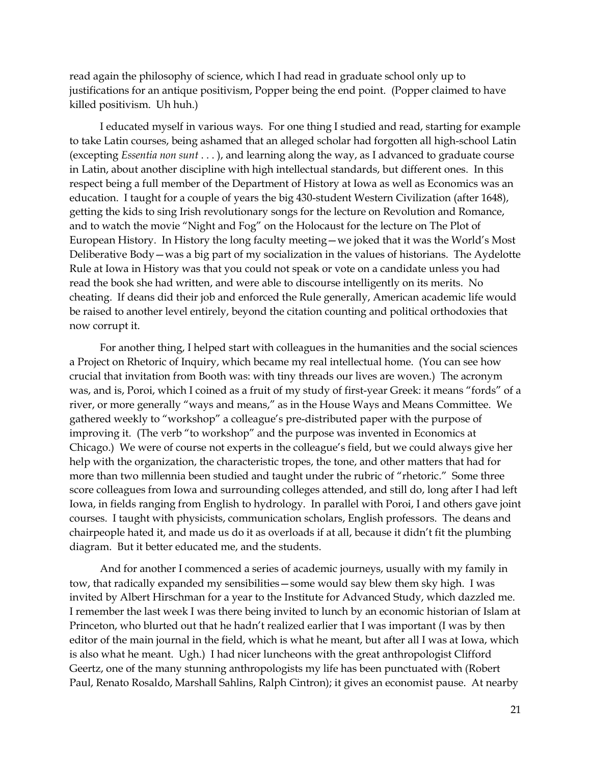read again the philosophy of science, which I had read in graduate school only up to justifications for an antique positivism, Popper being the end point. (Popper claimed to have killed positivism. Uh huh.)

I educated myself in various ways. For one thing I studied and read, starting for example to take Latin courses, being ashamed that an alleged scholar had forgotten all high-school Latin (excepting *Essentia non sunt* . . . ), and learning along the way, as I advanced to graduate course in Latin, about another discipline with high intellectual standards, but different ones. In this respect being a full member of the Department of History at Iowa as well as Economics was an education. I taught for a couple of years the big 430-student Western Civilization (after 1648), getting the kids to sing Irish revolutionary songs for the lecture on Revolution and Romance, and to watch the movie "Night and Fog" on the Holocaust for the lecture on The Plot of European History. In History the long faculty meeting—we joked that it was the World's Most Deliberative Body—was a big part of my socialization in the values of historians. The Aydelotte Rule at Iowa in History was that you could not speak or vote on a candidate unless you had read the book she had written, and were able to discourse intelligently on its merits. No cheating. If deans did their job and enforced the Rule generally, American academic life would be raised to another level entirely, beyond the citation counting and political orthodoxies that now corrupt it.

For another thing, I helped start with colleagues in the humanities and the social sciences a Project on Rhetoric of Inquiry, which became my real intellectual home. (You can see how crucial that invitation from Booth was: with tiny threads our lives are woven.) The acronym was, and is, Poroi, which I coined as a fruit of my study of first-year Greek: it means "fords" of a river, or more generally "ways and means," as in the House Ways and Means Committee. We gathered weekly to "workshop" a colleague's pre-distributed paper with the purpose of improving it. (The verb "to workshop" and the purpose was invented in Economics at Chicago.) We were of course not experts in the colleague's field, but we could always give her help with the organization, the characteristic tropes, the tone, and other matters that had for more than two millennia been studied and taught under the rubric of "rhetoric." Some three score colleagues from Iowa and surrounding colleges attended, and still do, long after I had left Iowa, in fields ranging from English to hydrology. In parallel with Poroi, I and others gave joint courses. I taught with physicists, communication scholars, English professors. The deans and chairpeople hated it, and made us do it as overloads if at all, because it didn't fit the plumbing diagram. But it better educated me, and the students.

And for another I commenced a series of academic journeys, usually with my family in tow, that radically expanded my sensibilities—some would say blew them sky high. I was invited by Albert Hirschman for a year to the Institute for Advanced Study, which dazzled me. I remember the last week I was there being invited to lunch by an economic historian of Islam at Princeton, who blurted out that he hadn't realized earlier that I was important (I was by then editor of the main journal in the field, which is what he meant, but after all I was at Iowa, which is also what he meant. Ugh.) I had nicer luncheons with the great anthropologist Clifford Geertz, one of the many stunning anthropologists my life has been punctuated with (Robert Paul, Renato Rosaldo, Marshall Sahlins, Ralph Cintron); it gives an economist pause. At nearby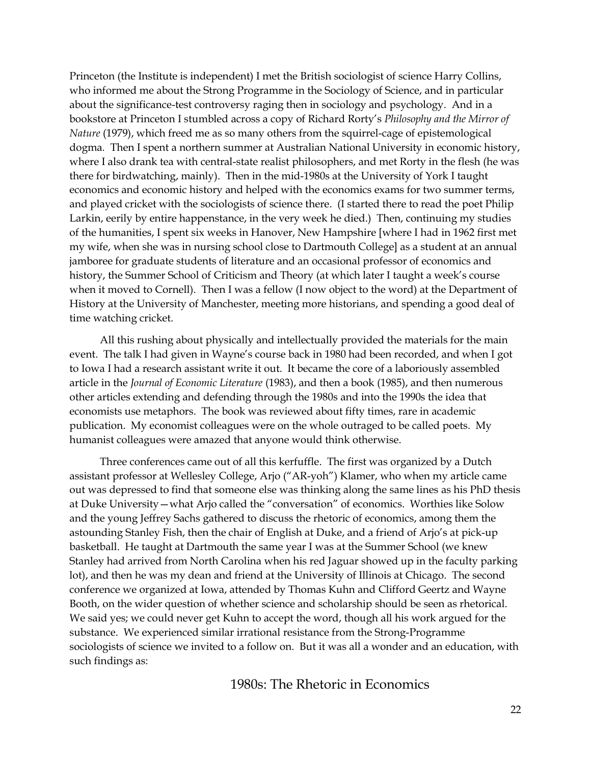Princeton (the Institute is independent) I met the British sociologist of science Harry Collins, who informed me about the Strong Programme in the Sociology of Science, and in particular about the significance-test controversy raging then in sociology and psychology. And in a bookstore at Princeton I stumbled across a copy of Richard Rorty's *Philosophy and the Mirror of Nature* (1979), which freed me as so many others from the squirrel-cage of epistemological dogma*.* Then I spent a northern summer at Australian National University in economic history, where I also drank tea with central-state realist philosophers, and met Rorty in the flesh (he was there for birdwatching, mainly). Then in the mid-1980s at the University of York I taught economics and economic history and helped with the economics exams for two summer terms, and played cricket with the sociologists of science there. (I started there to read the poet Philip Larkin, eerily by entire happenstance, in the very week he died.) Then, continuing my studies of the humanities, I spent six weeks in Hanover, New Hampshire [where I had in 1962 first met my wife, when she was in nursing school close to Dartmouth College] as a student at an annual jamboree for graduate students of literature and an occasional professor of economics and history, the Summer School of Criticism and Theory (at which later I taught a week's course when it moved to Cornell). Then I was a fellow (I now object to the word) at the Department of History at the University of Manchester, meeting more historians, and spending a good deal of time watching cricket.

All this rushing about physically and intellectually provided the materials for the main event. The talk I had given in Wayne's course back in 1980 had been recorded, and when I got to Iowa I had a research assistant write it out. It became the core of a laboriously assembled article in the *Journal of Economic Literature* (1983), and then a book (1985), and then numerous other articles extending and defending through the 1980s and into the 1990s the idea that economists use metaphors. The book was reviewed about fifty times, rare in academic publication. My economist colleagues were on the whole outraged to be called poets. My humanist colleagues were amazed that anyone would think otherwise.

Three conferences came out of all this kerfuffle. The first was organized by a Dutch assistant professor at Wellesley College, Arjo ("AR-yoh") Klamer, who when my article came out was depressed to find that someone else was thinking along the same lines as his PhD thesis at Duke University—what Arjo called the "conversation" of economics. Worthies like Solow and the young Jeffrey Sachs gathered to discuss the rhetoric of economics, among them the astounding Stanley Fish, then the chair of English at Duke, and a friend of Arjo's at pick-up basketball. He taught at Dartmouth the same year I was at the Summer School (we knew Stanley had arrived from North Carolina when his red Jaguar showed up in the faculty parking lot), and then he was my dean and friend at the University of Illinois at Chicago. The second conference we organized at Iowa, attended by Thomas Kuhn and Clifford Geertz and Wayne Booth, on the wider question of whether science and scholarship should be seen as rhetorical. We said yes; we could never get Kuhn to accept the word, though all his work argued for the substance. We experienced similar irrational resistance from the Strong-Programme sociologists of science we invited to a follow on. But it was all a wonder and an education, with such findings as:

# 1980s: The Rhetoric in Economics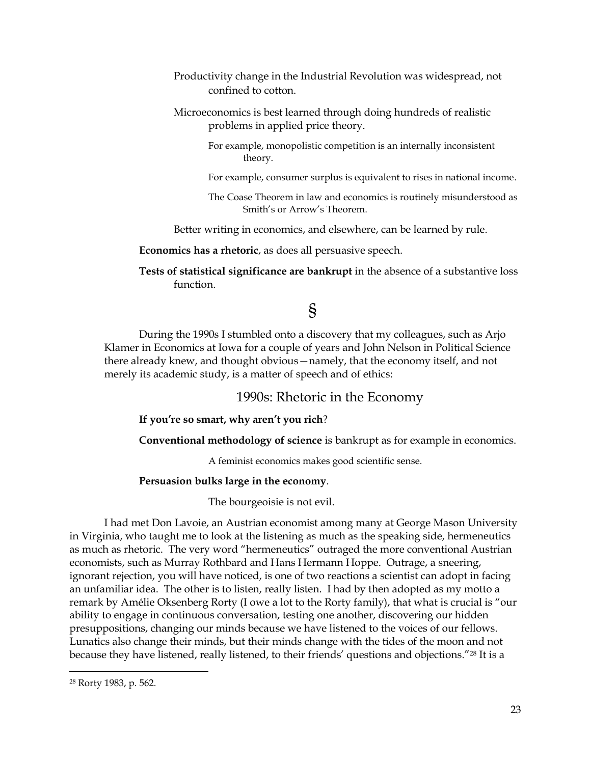- Productivity change in the Industrial Revolution was widespread, not confined to cotton.
- Microeconomics is best learned through doing hundreds of realistic problems in applied price theory.
	- For example, monopolistic competition is an internally inconsistent theory.
	- For example, consumer surplus is equivalent to rises in national income.
	- The Coase Theorem in law and economics is routinely misunderstood as Smith's or Arrow's Theorem.

Better writing in economics, and elsewhere, can be learned by rule.

**Economics has a rhetoric**, as does all persuasive speech.

**Tests of statistical significance are bankrupt** in the absence of a substantive loss function.

# §

During the 1990s I stumbled onto a discovery that my colleagues, such as Arjo Klamer in Economics at Iowa for a couple of years and John Nelson in Political Science there already knew, and thought obvious—namely, that the economy itself, and not merely its academic study, is a matter of speech and of ethics:

# 1990s: Rhetoric in the Economy

**If you're so smart, why aren't you rich**?

**Conventional methodology of science** is bankrupt as for example in economics.

A feminist economics makes good scientific sense.

## **Persuasion bulks large in the economy**.

The bourgeoisie is not evil.

I had met Don Lavoie, an Austrian economist among many at George Mason University in Virginia, who taught me to look at the listening as much as the speaking side, hermeneutics as much as rhetoric. The very word "hermeneutics" outraged the more conventional Austrian economists, such as Murray Rothbard and Hans Hermann Hoppe. Outrage, a sneering, ignorant rejection, you will have noticed, is one of two reactions a scientist can adopt in facing an unfamiliar idea. The other is to listen, really listen. I had by then adopted as my motto a remark by Amélie Oksenberg Rorty (I owe a lot to the Rorty family), that what is crucial is "our ability to engage in continuous conversation, testing one another, discovering our hidden presuppositions, changing our minds because we have listened to the voices of our fellows. Lunatics also change their minds, but their minds change with the tides of the moon and not because they have listened, really listened, to their friends' questions and objections."<sup>28</sup> It is a

<sup>28</sup> Rorty 1983, p. 562.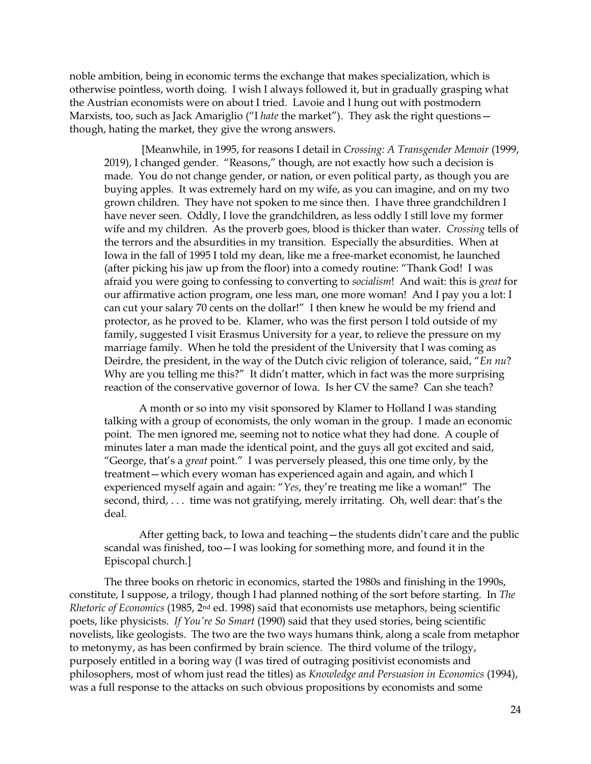noble ambition, being in economic terms the exchange that makes specialization, which is otherwise pointless, worth doing. I wish I always followed it, but in gradually grasping what the Austrian economists were on about I tried. Lavoie and I hung out with postmodern Marxists, too, such as Jack Amariglio ("I *hate* the market"). They ask the right questions though, hating the market, they give the wrong answers.

[Meanwhile, in 1995, for reasons I detail in *Crossing: A Transgender Memoir* (1999, 2019), I changed gender. "Reasons," though, are not exactly how such a decision is made. You do not change gender, or nation, or even political party, as though you are buying apples. It was extremely hard on my wife, as you can imagine, and on my two grown children. They have not spoken to me since then. I have three grandchildren I have never seen. Oddly, I love the grandchildren, as less oddly I still love my former wife and my children. As the proverb goes, blood is thicker than water. *Crossing* tells of the terrors and the absurdities in my transition. Especially the absurdities. When at Iowa in the fall of 1995 I told my dean, like me a free-market economist, he launched (after picking his jaw up from the floor) into a comedy routine: "Thank God! I was afraid you were going to confessing to converting to *socialism*! And wait: this is *great* for our affirmative action program, one less man, one more woman! And I pay you a lot: I can cut your salary 70 cents on the dollar!" I then knew he would be my friend and protector, as he proved to be. Klamer, who was the first person I told outside of my family, suggested I visit Erasmus University for a year, to relieve the pressure on my marriage family. When he told the president of the University that I was coming as Deirdre, the president, in the way of the Dutch civic religion of tolerance, said, "*En nu*? Why are you telling me this?" It didn't matter, which in fact was the more surprising reaction of the conservative governor of Iowa. Is her CV the same? Can she teach?

A month or so into my visit sponsored by Klamer to Holland I was standing talking with a group of economists, the only woman in the group. I made an economic point. The men ignored me, seeming not to notice what they had done. A couple of minutes later a man made the identical point, and the guys all got excited and said, "George, that's a *great* point." I was perversely pleased, this one time only, by the treatment—which every woman has experienced again and again, and which I experienced myself again and again: "*Yes*, they're treating me like a woman!" The second, third, . . . time was not gratifying, merely irritating. Oh, well dear: that's the deal.

After getting back, to Iowa and teaching—the students didn't care and the public scandal was finished, too—I was looking for something more, and found it in the Episcopal church.]

The three books on rhetoric in economics, started the 1980s and finishing in the 1990s, constitute, I suppose, a trilogy, though I had planned nothing of the sort before starting. In *The Rhetoric of Economics* (1985, 2nd ed. 1998) said that economists use metaphors, being scientific poets, like physicists. *If You're So Smart* (1990) said that they used stories, being scientific novelists, like geologists. The two are the two ways humans think, along a scale from metaphor to metonymy, as has been confirmed by brain science. The third volume of the trilogy, purposely entitled in a boring way (I was tired of outraging positivist economists and philosophers, most of whom just read the titles) as *Knowledge and Persuasion in Economics* (1994), was a full response to the attacks on such obvious propositions by economists and some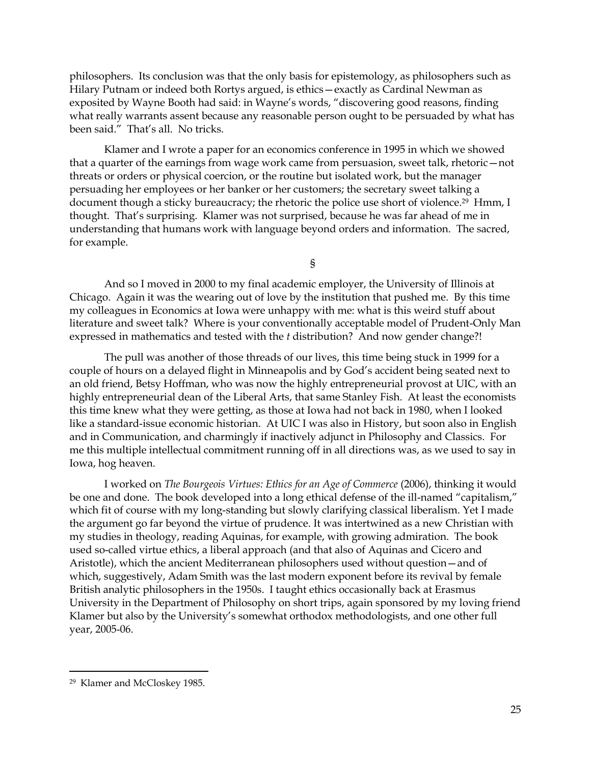philosophers. Its conclusion was that the only basis for epistemology, as philosophers such as Hilary Putnam or indeed both Rortys argued, is ethics—exactly as Cardinal Newman as exposited by Wayne Booth had said: in Wayne's words, "discovering good reasons, finding what really warrants assent because any reasonable person ought to be persuaded by what has been said." That's all. No tricks.

Klamer and I wrote a paper for an economics conference in 1995 in which we showed that a quarter of the earnings from wage work came from persuasion, sweet talk, rhetoric—not threats or orders or physical coercion, or the routine but isolated work, but the manager persuading her employees or her banker or her customers; the secretary sweet talking a document though a sticky bureaucracy; the rhetoric the police use short of violence.<sup>29</sup> Hmm, I thought. That's surprising. Klamer was not surprised, because he was far ahead of me in understanding that humans work with language beyond orders and information. The sacred, for example.

§

And so I moved in 2000 to my final academic employer, the University of Illinois at Chicago. Again it was the wearing out of love by the institution that pushed me. By this time my colleagues in Economics at Iowa were unhappy with me: what is this weird stuff about literature and sweet talk? Where is your conventionally acceptable model of Prudent-Only Man expressed in mathematics and tested with the *t* distribution? And now gender change?!

The pull was another of those threads of our lives, this time being stuck in 1999 for a couple of hours on a delayed flight in Minneapolis and by God's accident being seated next to an old friend, Betsy Hoffman, who was now the highly entrepreneurial provost at UIC, with an highly entrepreneurial dean of the Liberal Arts, that same Stanley Fish. At least the economists this time knew what they were getting, as those at Iowa had not back in 1980, when I looked like a standard-issue economic historian. At UIC I was also in History, but soon also in English and in Communication, and charmingly if inactively adjunct in Philosophy and Classics. For me this multiple intellectual commitment running off in all directions was, as we used to say in Iowa, hog heaven.

I worked on *The Bourgeois Virtues: Ethics for an Age of Commerce* (2006), thinking it would be one and done. The book developed into a long ethical defense of the ill-named "capitalism," which fit of course with my long-standing but slowly clarifying classical liberalism. Yet I made the argument go far beyond the virtue of prudence. It was intertwined as a new Christian with my studies in theology, reading Aquinas, for example, with growing admiration. The book used so-called virtue ethics, a liberal approach (and that also of Aquinas and Cicero and Aristotle), which the ancient Mediterranean philosophers used without question—and of which, suggestively, Adam Smith was the last modern exponent before its revival by female British analytic philosophers in the 1950s. I taught ethics occasionally back at Erasmus University in the Department of Philosophy on short trips, again sponsored by my loving friend Klamer but also by the University's somewhat orthodox methodologists, and one other full year, 2005-06.

<sup>29</sup> Klamer and McCloskey 1985.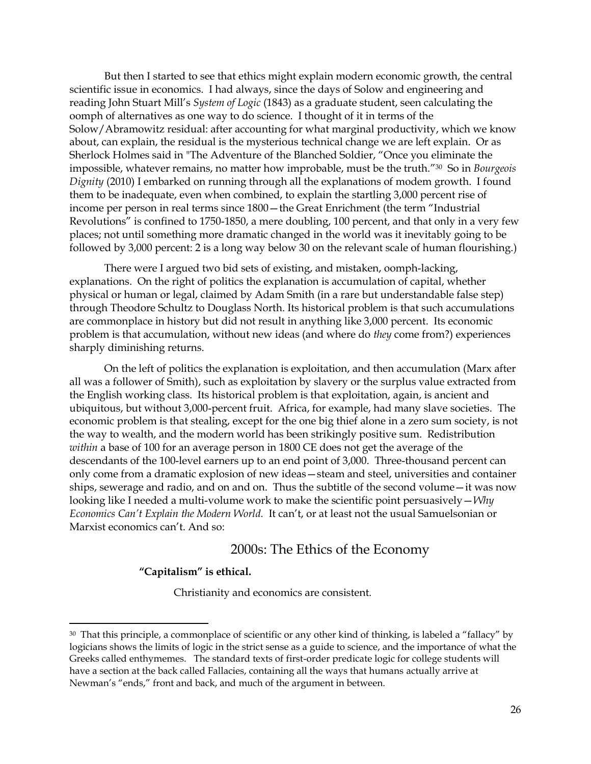But then I started to see that ethics might explain modern economic growth, the central scientific issue in economics. I had always, since the days of Solow and engineering and reading John Stuart Mill's *System of Logic* (1843) as a graduate student, seen calculating the oomph of alternatives as one way to do science. I thought of it in terms of the Solow/Abramowitz residual: after accounting for what marginal productivity, which we know about, can explain, the residual is the mysterious technical change we are left explain. Or as Sherlock Holmes said in "The Adventure of the Blanched Soldier, "Once you eliminate the impossible, whatever remains, no matter how improbable, must be the truth."<sup>30</sup> So in *Bourgeois Dignity* (2010) I embarked on running through all the explanations of modem growth. I found them to be inadequate, even when combined, to explain the startling 3,000 percent rise of income per person in real terms since 1800—the Great Enrichment (the term "Industrial Revolutions" is confined to 1750-1850, a mere doubling, 100 percent, and that only in a very few places; not until something more dramatic changed in the world was it inevitably going to be followed by 3,000 percent: 2 is a long way below 30 on the relevant scale of human flourishing.)

There were I argued two bid sets of existing, and mistaken, oomph-lacking, explanations. On the right of politics the explanation is accumulation of capital, whether physical or human or legal, claimed by Adam Smith (in a rare but understandable false step) through Theodore Schultz to Douglass North. Its historical problem is that such accumulations are commonplace in history but did not result in anything like 3,000 percent. Its economic problem is that accumulation, without new ideas (and where do *they* come from?) experiences sharply diminishing returns.

On the left of politics the explanation is exploitation, and then accumulation (Marx after all was a follower of Smith), such as exploitation by slavery or the surplus value extracted from the English working class. Its historical problem is that exploitation, again, is ancient and ubiquitous, but without 3,000-percent fruit. Africa, for example, had many slave societies. The economic problem is that stealing, except for the one big thief alone in a zero sum society, is not the way to wealth, and the modern world has been strikingly positive sum. Redistribution *within* a base of 100 for an average person in 1800 CE does not get the average of the descendants of the 100-level earners up to an end point of 3,000. Three-thousand percent can only come from a dramatic explosion of new ideas—steam and steel, universities and container ships, sewerage and radio, and on and on. Thus the subtitle of the second volume—it was now looking like I needed a multi-volume work to make the scientific point persuasively—*Why Economics Can't Explain the Modern World.* It can't, or at least not the usual Samuelsonian or Marxist economics can't. And so:

# 2000s: The Ethics of the Economy

### **"Capitalism" is ethical.**

Christianity and economics are consistent.

<sup>&</sup>lt;sup>30</sup> That this principle, a commonplace of scientific or any other kind of thinking, is labeled a "fallacy" by logicians shows the limits of logic in the strict sense as a guide to science, and the importance of what the Greeks called enthymemes. The standard texts of first-order predicate logic for college students will have a section at the back called Fallacies, containing all the ways that humans actually arrive at Newman's "ends," front and back, and much of the argument in between.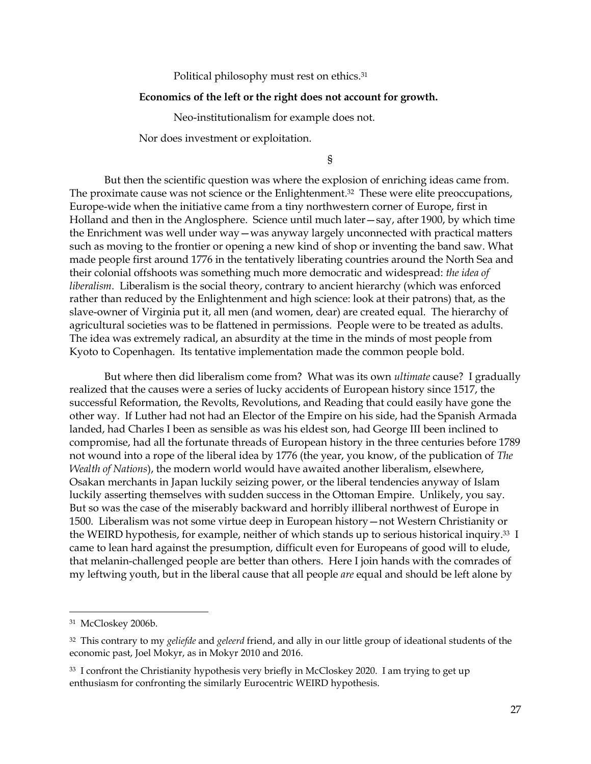Political philosophy must rest on ethics.<sup>31</sup>

#### **Economics of the left or the right does not account for growth.**

Neo-institutionalism for example does not.

Nor does investment or exploitation.

§

But then the scientific question was where the explosion of enriching ideas came from. The proximate cause was not science or the Enlightenment. <sup>32</sup> These were elite preoccupations, Europe-wide when the initiative came from a tiny northwestern corner of Europe, first in Holland and then in the Anglosphere. Science until much later—say, after 1900, by which time the Enrichment was well under way—was anyway largely unconnected with practical matters such as moving to the frontier or opening a new kind of shop or inventing the band saw. What made people first around 1776 in the tentatively liberating countries around the North Sea and their colonial offshoots was something much more democratic and widespread: *the idea of liberalism*. Liberalism is the social theory, contrary to ancient hierarchy (which was enforced rather than reduced by the Enlightenment and high science: look at their patrons) that, as the slave-owner of Virginia put it, all men (and women, dear) are created equal. The hierarchy of agricultural societies was to be flattened in permissions. People were to be treated as adults. The idea was extremely radical, an absurdity at the time in the minds of most people from Kyoto to Copenhagen. Its tentative implementation made the common people bold.

But where then did liberalism come from? What was its own *ultimate* cause? I gradually realized that the causes were a series of lucky accidents of European history since 1517, the successful Reformation, the Revolts, Revolutions, and Reading that could easily have gone the other way. If Luther had not had an Elector of the Empire on his side, had the Spanish Armada landed, had Charles I been as sensible as was his eldest son, had George III been inclined to compromise, had all the fortunate threads of European history in the three centuries before 1789 not wound into a rope of the liberal idea by 1776 (the year, you know, of the publication of *The Wealth of Nations*), the modern world would have awaited another liberalism, elsewhere, Osakan merchants in Japan luckily seizing power, or the liberal tendencies anyway of Islam luckily asserting themselves with sudden success in the Ottoman Empire. Unlikely, you say. But so was the case of the miserably backward and horribly illiberal northwest of Europe in 1500. Liberalism was not some virtue deep in European history—not Western Christianity or the WEIRD hypothesis, for example, neither of which stands up to serious historical inquiry.<sup>33</sup> I came to lean hard against the presumption, difficult even for Europeans of good will to elude, that melanin-challenged people are better than others. Here I join hands with the comrades of my leftwing youth, but in the liberal cause that all people *are* equal and should be left alone by

<sup>31</sup> McCloskey 2006b.

<sup>32</sup> This contrary to my *geliefde* and *geleerd* friend, and ally in our little group of ideational students of the economic past, Joel Mokyr, as in Mokyr 2010 and 2016.

<sup>&</sup>lt;sup>33</sup> I confront the Christianity hypothesis very briefly in McCloskey 2020. I am trying to get up enthusiasm for confronting the similarly Eurocentric WEIRD hypothesis.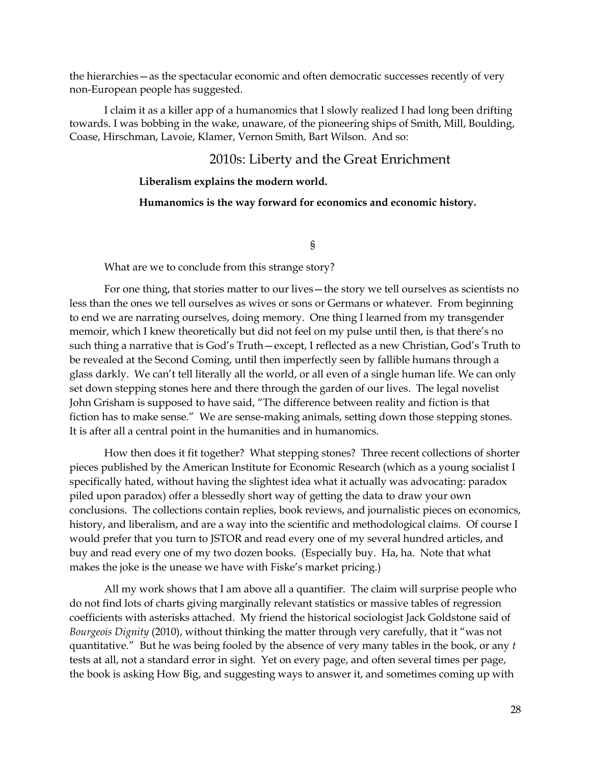the hierarchies—as the spectacular economic and often democratic successes recently of very non-European people has suggested.

I claim it as a killer app of a humanomics that I slowly realized I had long been drifting towards. I was bobbing in the wake, unaware, of the pioneering ships of Smith, Mill, Boulding, Coase, Hirschman, Lavoie, Klamer, Vernon Smith, Bart Wilson. And so:

## 2010s: Liberty and the Great Enrichment

## **Liberalism explains the modern world.**

## **Humanomics is the way forward for economics and economic history.**

§

What are we to conclude from this strange story?

For one thing, that stories matter to our lives—the story we tell ourselves as scientists no less than the ones we tell ourselves as wives or sons or Germans or whatever. From beginning to end we are narrating ourselves, doing memory. One thing I learned from my transgender memoir, which I knew theoretically but did not feel on my pulse until then, is that there's no such thing a narrative that is God's Truth—except, I reflected as a new Christian, God's Truth to be revealed at the Second Coming, until then imperfectly seen by fallible humans through a glass darkly. We can't tell literally all the world, or all even of a single human life. We can only set down stepping stones here and there through the garden of our lives. The legal novelist John Grisham is supposed to have said, "The difference between reality and fiction is that fiction has to make sense." We are sense-making animals, setting down those stepping stones. It is after all a central point in the humanities and in humanomics.

How then does it fit together? What stepping stones? Three recent collections of shorter pieces published by the American Institute for Economic Research (which as a young socialist I specifically hated, without having the slightest idea what it actually was advocating: paradox piled upon paradox) offer a blessedly short way of getting the data to draw your own conclusions. The collections contain replies, book reviews, and journalistic pieces on economics, history, and liberalism, and are a way into the scientific and methodological claims. Of course I would prefer that you turn to JSTOR and read every one of my several hundred articles, and buy and read every one of my two dozen books. (Especially buy. Ha, ha. Note that what makes the joke is the unease we have with Fiske's market pricing.)

All my work shows that I am above all a quantifier. The claim will surprise people who do not find lots of charts giving marginally relevant statistics or massive tables of regression coefficients with asterisks attached. My friend the historical sociologist Jack Goldstone said of *Bourgeois Dignity* (2010), without thinking the matter through very carefully, that it "was not quantitative." But he was being fooled by the absence of very many tables in the book, or any *t* tests at all, not a standard error in sight. Yet on every page, and often several times per page, the book is asking How Big, and suggesting ways to answer it, and sometimes coming up with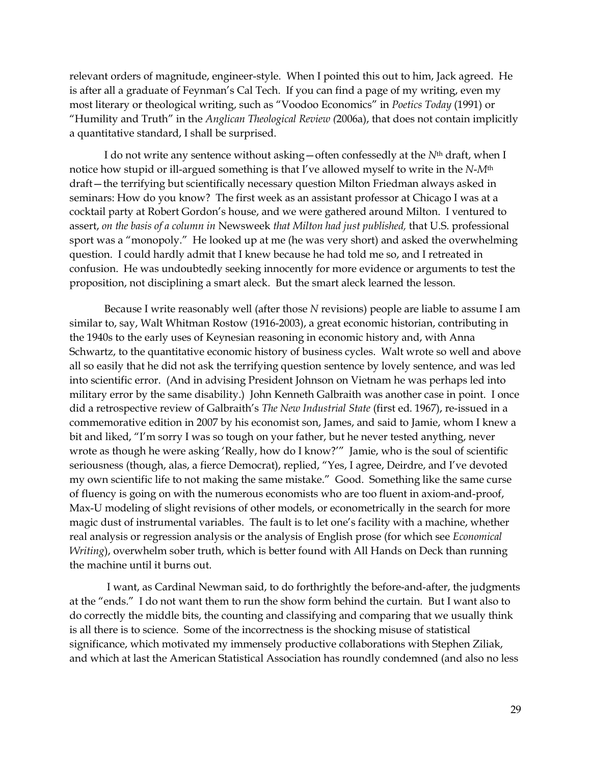relevant orders of magnitude, engineer-style. When I pointed this out to him, Jack agreed. He is after all a graduate of Feynman's Cal Tech. If you can find a page of my writing, even my most literary or theological writing, such as "Voodoo Economics" in *Poetics Today* (1991) or "Humility and Truth" in the *Anglican Theological Review (*2006a), that does not contain implicitly a quantitative standard, I shall be surprised.

I do not write any sentence without asking—often confessedly at the *N*th draft, when I notice how stupid or ill-argued something is that I've allowed myself to write in the *N*-*M*th draft—the terrifying but scientifically necessary question Milton Friedman always asked in seminars: How do you know? The first week as an assistant professor at Chicago I was at a cocktail party at Robert Gordon's house, and we were gathered around Milton. I ventured to assert, *on the basis of a column in* Newsweek *that Milton had just published,* that U.S. professional sport was a "monopoly." He looked up at me (he was very short) and asked the overwhelming question. I could hardly admit that I knew because he had told me so, and I retreated in confusion. He was undoubtedly seeking innocently for more evidence or arguments to test the proposition, not disciplining a smart aleck. But the smart aleck learned the lesson.

Because I write reasonably well (after those *N* revisions) people are liable to assume I am similar to, say, Walt Whitman Rostow (1916-2003), a great economic historian, contributing in the 1940s to the early uses of Keynesian reasoning in economic history and, with Anna Schwartz, to the quantitative economic history of business cycles. Walt wrote so well and above all so easily that he did not ask the terrifying question sentence by lovely sentence, and was led into scientific error. (And in advising President Johnson on Vietnam he was perhaps led into military error by the same disability.) John Kenneth Galbraith was another case in point. I once did a retrospective review of Galbraith's *The New Industrial State* (first ed. 1967), re-issued in a commemorative edition in 2007 by his economist son, James, and said to Jamie, whom I knew a bit and liked, "I'm sorry I was so tough on your father, but he never tested anything, never wrote as though he were asking 'Really, how do I know?'" Jamie, who is the soul of scientific seriousness (though, alas, a fierce Democrat), replied, "Yes, I agree, Deirdre, and I've devoted my own scientific life to not making the same mistake." Good. Something like the same curse of fluency is going on with the numerous economists who are too fluent in axiom-and-proof, Max-U modeling of slight revisions of other models, or econometrically in the search for more magic dust of instrumental variables. The fault is to let one's facility with a machine, whether real analysis or regression analysis or the analysis of English prose (for which see *Economical Writing*), overwhelm sober truth, which is better found with All Hands on Deck than running the machine until it burns out.

I want, as Cardinal Newman said, to do forthrightly the before-and-after, the judgments at the "ends." I do not want them to run the show form behind the curtain. But I want also to do correctly the middle bits, the counting and classifying and comparing that we usually think is all there is to science. Some of the incorrectness is the shocking misuse of statistical significance, which motivated my immensely productive collaborations with Stephen Ziliak, and which at last the American Statistical Association has roundly condemned (and also no less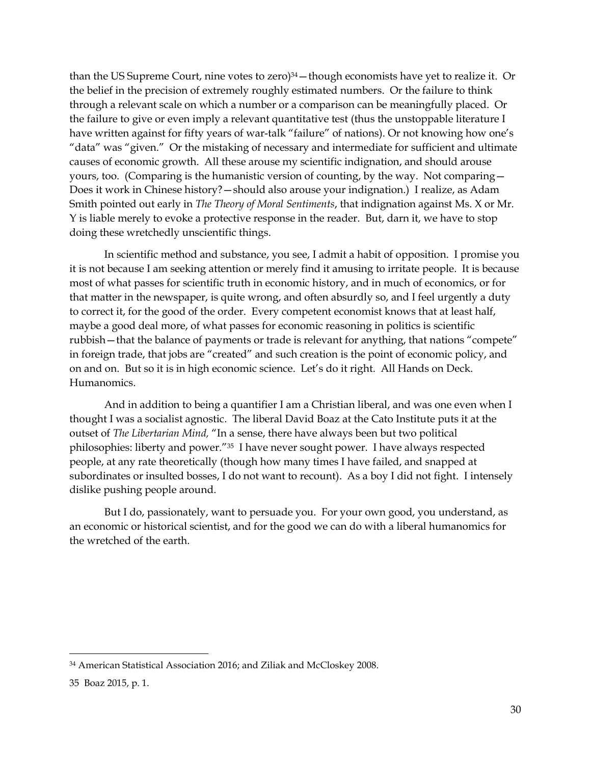than the US Supreme Court, nine votes to zero) <sup>34</sup>—though economists have yet to realize it. Or the belief in the precision of extremely roughly estimated numbers. Or the failure to think through a relevant scale on which a number or a comparison can be meaningfully placed. Or the failure to give or even imply a relevant quantitative test (thus the unstoppable literature I have written against for fifty years of war-talk "failure" of nations). Or not knowing how one's "data" was "given." Or the mistaking of necessary and intermediate for sufficient and ultimate causes of economic growth. All these arouse my scientific indignation, and should arouse yours, too. (Comparing is the humanistic version of counting, by the way. Not comparing— Does it work in Chinese history?—should also arouse your indignation.) I realize, as Adam Smith pointed out early in *The Theory of Moral Sentiments*, that indignation against Ms. X or Mr. Y is liable merely to evoke a protective response in the reader. But, darn it, we have to stop doing these wretchedly unscientific things.

In scientific method and substance, you see, I admit a habit of opposition. I promise you it is not because I am seeking attention or merely find it amusing to irritate people. It is because most of what passes for scientific truth in economic history, and in much of economics, or for that matter in the newspaper, is quite wrong, and often absurdly so, and I feel urgently a duty to correct it, for the good of the order. Every competent economist knows that at least half, maybe a good deal more, of what passes for economic reasoning in politics is scientific rubbish – that the balance of payments or trade is relevant for anything, that nations "compete" in foreign trade, that jobs are "created" and such creation is the point of economic policy, and on and on. But so it is in high economic science. Let's do it right. All Hands on Deck. Humanomics.

And in addition to being a quantifier I am a Christian liberal, and was one even when I thought I was a socialist agnostic. The liberal David Boaz at the Cato Institute puts it at the outset of *The Libertarian Mind,* "In a sense, there have always been but two political philosophies: liberty and power."<sup>35</sup> I have never sought power. I have always respected people, at any rate theoretically (though how many times I have failed, and snapped at subordinates or insulted bosses, I do not want to recount). As a boy I did not fight. I intensely dislike pushing people around.

But I do, passionately, want to persuade you. For your own good, you understand, as an economic or historical scientist, and for the good we can do with a liberal humanomics for the wretched of the earth.

<sup>34</sup> American Statistical Association 2016; and Ziliak and McCloskey 2008.

<sup>35</sup> Boaz 2015, p. 1.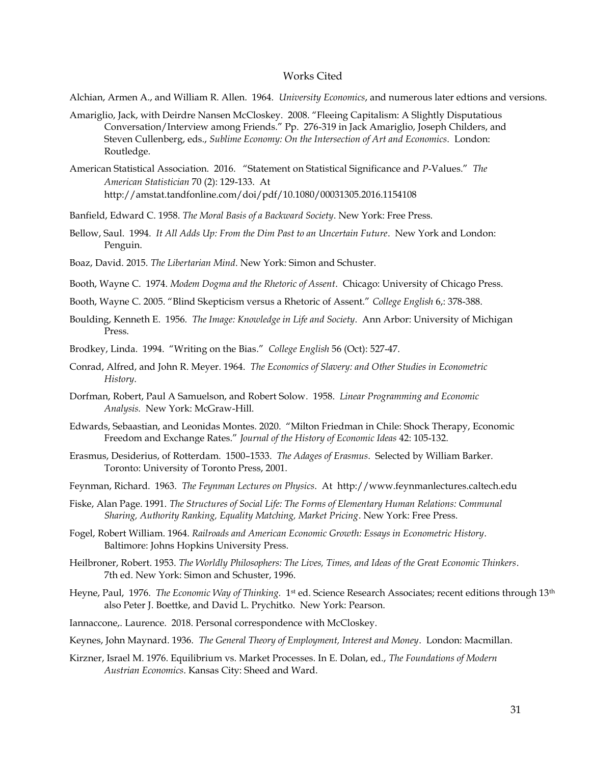### Works Cited

Alchian, Armen A., and William R. Allen. 1964. *University Economics*, and numerous later edtions and versions.

- Amariglio, Jack, with Deirdre Nansen McCloskey. 2008. "Fleeing Capitalism: A Slightly Disputatious Conversation/Interview among Friends." Pp. 276-319 in Jack Amariglio, Joseph Childers, and Steven Cullenberg, eds., *Sublime Economy: On the Intersection of Art and Economics*. London: Routledge.
- American Statistical Association. 2016. "Statement on Statistical Significance and *P*-Values." *The American Statistician* 70 (2): 129-133. At http://amstat.tandfonline.com/doi/pdf/10.1080/00031305.2016.1154108

Banfield, Edward C. 1958. *The Moral Basis of a Backward Society*. New York: Free Press.

- Bellow, Saul. 1994. *It All Adds Up: From the Dim Past to an Uncertain Future*. New York and London: Penguin.
- Boaz, David. 2015. *The Libertarian Mind*. New York: Simon and Schuster.
- Booth, Wayne C. 1974. *Modem Dogma and the Rhetoric of Assent*. Chicago: University of Chicago Press.
- Booth, Wayne C. 2005. "Blind Skepticism versus a Rhetoric of Assent." *College English* 6,: 378-388.
- Boulding, Kenneth E. 1956. *The Image: Knowledge in Life and Society*. Ann Arbor: University of Michigan Press.
- Brodkey, Linda. 1994. "Writing on the Bias." *College English* 56 (Oct): 527-47.
- Conrad, Alfred, and John R. Meyer. 1964. *The Economics of Slavery: and Other Studies in Econometric History*.
- Dorfman, Robert, Paul A Samuelson, and Robert Solow*.* 1958. *Linear Programming and Economic Analysis.* New York: McGraw-Hill.
- Edwards, Sebaastian, and Leonidas Montes. 2020. "Milton Friedman in Chile: Shock Therapy, Economic Freedom and Exchange Rates." *Journal of the History of Economic Ideas* 42: 105-132.
- Erasmus, Desiderius, of Rotterdam. 1500–1533. *The Adages of Erasmus*. Selected by William Barker. Toronto: University of Toronto Press, 2001.
- Feynman, Richard. 1963. *The Feynman Lectures on Physics*. At http://www.feynmanlectures.caltech.edu
- Fiske, Alan Page. 1991. *The Structures of Social Life: The Forms of Elementary Human Relations: Communal Sharing, Authority Ranking, Equality Matching, Market Pricing*. New York: Free Press.
- Fogel, Robert William. 1964. *Railroads and American Economic Growth: Essays in Econometric History*. Baltimore: Johns Hopkins University Press.
- Heilbroner, Robert. 1953. *The Worldly Philosophers: The Lives, Times, and Ideas of the Great Economic Thinkers*. 7th ed. New York: Simon and Schuster, 1996.
- Heyne, Paul, 1976. *The Economic Way of Thinking.* 1st ed. Science Research Associates; recent editions through 13<sup>th</sup> also Peter J. Boettke, and David L. Prychitko. New York: Pearson.
- Iannaccone,. Laurence. 2018. Personal correspondence with McCloskey.
- Keynes, John Maynard. 1936. *The General Theory of Employment, Interest and Money*. London: Macmillan.
- Kirzner, Israel M. 1976. Equilibrium vs. Market Processes. In E. Dolan, ed., *The Foundations of Modern Austrian Economics*. Kansas City: Sheed and Ward.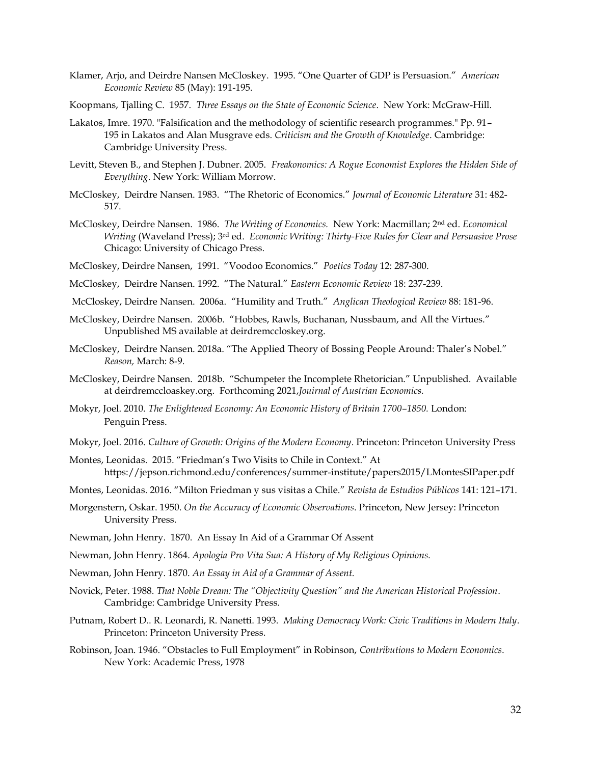- Klamer, Arjo, and Deirdre Nansen McCloskey. 1995. "One Quarter of GDP is Persuasion." *American Economic Review* 85 (May): 191-195.
- Koopmans, Tjalling C. 1957. *Three Essays on the State of Economic Science*. New York: McGraw-Hill.
- Lakatos, Imre. 1970. "Falsification and the methodology of scientific research programmes." Pp. 91– 195 in Lakatos and Alan Musgrave eds. *Criticism and the Growth of Knowledge*. Cambridge: Cambridge University Press.
- Levitt, Steven B., and Stephen J. Dubner. 2005. *Freakonomics: A Rogue Economist Explores the Hidden Side of Everything*. New York: William Morrow.
- McCloskey, Deirdre Nansen. 1983. "The Rhetoric of Economics." *Journal of Economic Literature* 31: 482- 517.
- McCloskey, Deirdre Nansen. 1986. *The Writing of Economics.* New York: Macmillan; 2nd ed. *Economical Writing* (Waveland Press); 3rd ed. *Economic Writing: Thirty-Five Rules for Clear and Persuasive Prose* Chicago: University of Chicago Press.
- McCloskey, Deirdre Nansen, 1991. "Voodoo Economics." *Poetics Today* 12: 287-300.
- McCloskey, Deirdre Nansen. 1992. "The Natural." *Eastern Economic Review* 18: 237-239.
- McCloskey, Deirdre Nansen. 2006a. "Humility and Truth." *Anglican Theological Review* 88: 181-96.
- McCloskey, Deirdre Nansen. 2006b. "Hobbes, Rawls, Buchanan, Nussbaum, and All the Virtues." Unpublished MS available at deirdremccloskey.org.
- McCloskey, Deirdre Nansen. 2018a. "The Applied Theory of Bossing People Around: Thaler's Nobel." *Reason,* March: 8-9.
- McCloskey, Deirdre Nansen. 2018b. "Schumpeter the Incomplete Rhetorician." Unpublished. Available at deirdremccloaskey.org. Forthcoming 2021,*Jouirnal of Austrian Economics.*
- Mokyr, Joel. 2010. *The Enlightened Economy: An Economic History of Britain 1700–1850.* London: Penguin Press.
- Mokyr, Joel. 2016. *Culture of Growth: Origins of the Modern Economy*. Princeton: Princeton University Press
- Montes, Leonidas. 2015. "Friedman's Two Visits to Chile in Context." At https://jepson.richmond.edu/conferences/summer-institute/papers2015/LMontesSIPaper.pdf
- Montes, Leonidas. 2016. "Milton Friedman y sus visitas a Chile." *Revista de Estudios Públicos* 141: 121–171.
- Morgenstern, Oskar. 1950. *On the Accuracy of Economic Observations*. Princeton, New Jersey: Princeton University Press.
- Newman, John Henry. 1870. An Essay In Aid of a Grammar Of Assent
- Newman, John Henry. 1864. *Apologia Pro Vita Sua: A History of My Religious Opinions.*
- Newman, John Henry. 1870. *An Essay in Aid of a Grammar of Assent.*
- Novick, Peter. 1988. *That Noble Dream: The "Objectivity Question" and the American Historical Profession*. Cambridge: Cambridge University Press.
- Putnam, Robert D.. R. Leonardi, R. Nanetti. 1993. *Making Democracy Work: Civic Traditions in Modern Italy*. Princeton: Princeton University Press.
- Robinson, Joan. 1946. "Obstacles to Full Employment" in Robinson, *Contributions to Modern Economics*. New York: Academic Press, 1978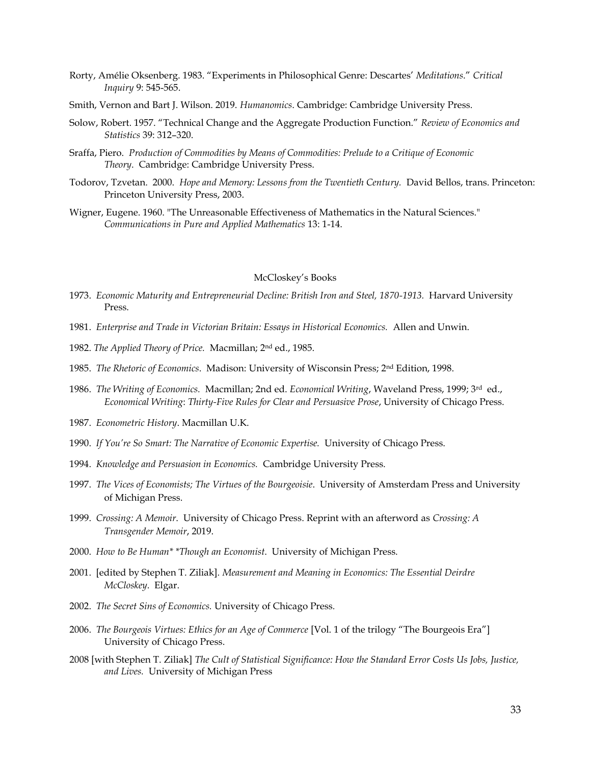- Rorty, Amélie Oksenberg. 1983. "Experiments in Philosophical Genre: Descartes' *Meditations*." *Critical Inquiry* 9: 545-565.
- Smith, Vernon and Bart J. Wilson. 2019. *Humanomics*. Cambridge: Cambridge University Press.
- Solow, Robert. 1957. "Technical Change and the Aggregate Production Function." *Review of Economics and Statistics* 39: 312–320.
- Sraffa, Piero. *Production of Commodities by Means of Commodities: Prelude to a Critique of Economic Theory*. Cambridge: Cambridge University Press.
- Todorov, Tzvetan. 2000. *Hope and Memory: Lessons from the Twentieth Century.* David Bellos, trans. Princeton: Princeton University Press, 2003.
- Wigner, Eugene. 1960. "The Unreasonable Effectiveness of Mathematics in the Natural Sciences." *Communications in Pure and Applied Mathematics* 13: 1-14.

#### McCloskey's Books

- 1973. *Economic Maturity and Entrepreneurial Decline: British Iron and Steel, 1870-1913.* Harvard University Press.
- 1981. *Enterprise and Trade in Victorian Britain: Essays in Historical Economics.* Allen and Unwin.
- 1982. *The Applied Theory of Price.* Macmillan; 2 nd ed., 1985.
- 1985. *The Rhetoric of Economics*. Madison: University of Wisconsin Press; 2nd Edition, 1998.
- 1986. *The Writing of Economics.* Macmillan; 2nd ed. *Economical Writing*, Waveland Press, 1999; 3 rd ed., *Economical Writing*: *Thirty-Five Rules for Clear and Persuasive Prose*, University of Chicago Press.
- 1987. *Econometric History*. Macmillan U.K.
- 1990. *If You're So Smart: The Narrative of Economic Expertise.* University of Chicago Press.
- 1994. *Knowledge and Persuasion in Economics.* Cambridge University Press.
- 1997. *The Vices of Economists; The Virtues of the Bourgeoisie*. University of Amsterdam Press and University of Michigan Press.
- 1999. *Crossing: A Memoir*. University of Chicago Press. Reprint with an afterword as *Crossing: A Transgender Memoir*, 2019.
- 2000. *How to Be Human\* \*Though an Economist*. University of Michigan Press.
- 2001. [edited by Stephen T. Ziliak]. *Measurement and Meaning in Economics: The Essential Deirdre McCloskey*. Elgar.
- 2002. *The Secret Sins of Economics.* University of Chicago Press*.*
- 2006. *The Bourgeois Virtues: Ethics for an Age of Commerce* [Vol. 1 of the trilogy "The Bourgeois Era"] University of Chicago Press.
- 2008 [with Stephen T. Ziliak] *The Cult of Statistical Significance: How the Standard Error Costs Us Jobs, Justice, and Lives.* University of Michigan Press